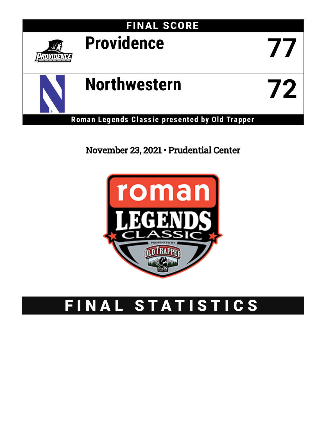

# November 23, 2021 • Prudential Center



# FINAL STATISTICS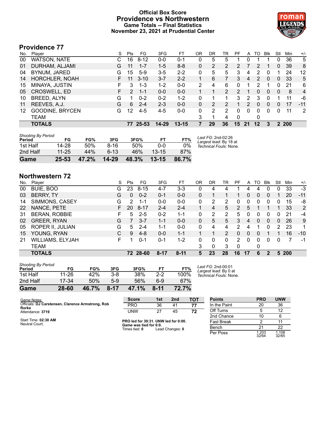# **Official Box Score Providence vs Northwestern Game Totals -- Final Statistics November 23, 2021 at Prudential Center**



# **Providence 77**

| No. | Player                 | S  | Pts           | FG       | 3FG     | FT        | ΟR | DR | TR             | PF             | A  | то | <b>B</b> lk | Stl          | Min  | $+/-$ |
|-----|------------------------|----|---------------|----------|---------|-----------|----|----|----------------|----------------|----|----|-------------|--------------|------|-------|
| 00  | <b>WATSON, NATE</b>    | C. | 16            | $8 - 12$ | $0 - 0$ | $0 - 1$   | 0  | 5  | 5              |                | 0  |    |             | 0            | 36   | 5     |
| 01  | DURHAM, ALJAMI         | G  | 11            | $1 - 7$  | $1 - 5$ | $8 - 8$   | 0  | 2  | $\overline{2}$ | $\overline{2}$ |    | 2  |             | 0            | 39   | 8     |
| 04  | BYNUM, JARED           | G  | 15            | $5-9$    | 3-5     | $2 - 2$   | 0  | 5  | 5              | 3              | 4  | 2  | 0           |              | 24   | 12    |
| 14  | HORCHLER, NOAH         |    | 11            | $3 - 10$ | $3 - 7$ | $2 - 2$   |    | 6  |                | 3              | 4  | 2  | $\Omega$    | $\mathbf{0}$ | 33   | 5     |
| 15  | MINAYA, JUSTIN         |    | 3             | $1 - 3$  | $1 - 2$ | $0 - 0$   | 2  | 4  | 6              | 0              |    | 2  |             | 0            | 21   | 6     |
| 05  | <b>CROSWELL, ED</b>    |    | $\mathcal{P}$ | $1 - 1$  | $0 - 0$ | $0 - 0$   |    |    | $\overline{2}$ |                |    | 0  | 0           | 0            | 8    | 4     |
| 10  | BREED, ALYN            | G  |               | $0 - 2$  | $0 - 2$ | $1 - 2$   | 0  |    |                | 3              | 2  | 3  |             |              | 11   | -6    |
| 11  | REEVES, A.J.           | G  | 6             | $2 - 4$  | $2 - 3$ | $0 - 0$   | 0  | 2  |                |                | 2  | 0  | 0           | 0            | 17   | $-11$ |
| 12  | <b>GOODINE, BRYCEN</b> | G  | 12            | $4 - 5$  | $4 - 5$ | $0 - 0$   | 0  | 2  | 2              | 0              | 0  | 0  | $\Omega$    | 0            | 11   | 2     |
|     | TEAM                   |    |               |          |         |           | 3  |    | 4              | 0              |    | 0  |             |              |      |       |
|     | <b>TOTALS</b>          |    | 77            | 25-53    | 14-29   | $13 - 15$ |    | 29 | 36             | 15             | 21 | 12 | з           | 2            | -200 |       |

| <b>Shooting By Period</b> |           |       |           |       |           |       |                                              |
|---------------------------|-----------|-------|-----------|-------|-----------|-------|----------------------------------------------|
| Period                    | FG        | FG%   | 3FG       | 3FG%  | FT        | FT%   | Last FG: 2nd-02:26<br>Largest lead: By 18 at |
| 1st Half                  | 14-28     | 50%   | 8-16      | 50%   | 0-0       | 0%    | Technical Fouls: None.                       |
| 2nd Half                  | $11 - 25$ | 44%   | $6-13$    | 46%   | $13 - 15$ | 87%   |                                              |
| Game                      | $25 - 53$ | 47.2% | $14 - 29$ | 48.3% | $13 - 15$ | 86.7% |                                              |

# **Northwestern 72**

| No. | Plaver                  | S  | Pts | FG       | 3FG      | FT.      | 0R       | DR | TR             | PF             | A        | TO | Blk      | Stl | Min   | $+/-$ |
|-----|-------------------------|----|-----|----------|----------|----------|----------|----|----------------|----------------|----------|----|----------|-----|-------|-------|
| 00  | BUIE, BOO               | G  | 23  | $8 - 15$ | 4-7      | $3 - 3$  | 0        | 4  | 4              |                | 4        | 4  | 0        | 0   | 33    | $-3$  |
| 03  | <b>BERRY, TY</b>        | G  | 0   | $0 - 2$  | $0 - 1$  | $0 - 0$  | 0        |    |                |                | 0        | 0  | 0        |     | 20    | $-11$ |
| 14  | SIMMONS, CASEY          | G  | 2   | $1 - 1$  | $0 - 0$  | $0-0$    | 0        | 2  | 2              | 0              | 0        | 0  | 0        | 0   | 15    | -8    |
| 22  | NANCE, PETE             | F. | 20  | $8 - 17$ | $2 - 4$  | $2 - 4$  |          | 4  | 5              | $\overline{2}$ | 5        |    |          |     | 33    | 2     |
| 31  | BERAN, ROBBIE           | F  | 5.  | $2 - 5$  | $0 - 2$  | $1 - 1$  | $\Omega$ | 2  | 2              | 5              | 0        | O  | 0        | 0   | 21    | $-4$  |
| 02  | <b>GREER, RYAN</b>      | G  |     | $3 - 7$  | $1 - 1$  | $0 - 0$  | 0        | 5  | 5              | 3              | 4        | 0  | $\Omega$ | 0   | 26    | 9     |
| 05  | <b>ROPER II, JULIAN</b> | G  | 5.  | $2 - 4$  | 1-1      | $0-0$    | 0        | 4  | 4              | 2              | 4        |    | $\bf{0}$ | 2   | 23    | 1     |
| 15  | YOUNG, RYAN             | С  | 9   | $4 - 8$  | $0 - 0$  | $1 - 1$  |          |    | $\overline{2}$ | 0              | 0        | 0  |          |     | 16    | $-10$ |
| 21  | <b>WILLIAMS, ELYJAH</b> | F  |     | $0 - 1$  | $0 - 1$  | $1-2$    | 0        | 0  | 0              | 2              | $\Omega$ | 0  | 0        | 0   |       | -1    |
|     | TEAM                    |    |     |          |          |          | 3        | 0  | 3              | 0              |          | 0  |          |     |       |       |
|     | <b>TOTALS</b>           |    |     | 72 28-60 | $8 - 17$ | $8 - 11$ | 5        | 23 | 28             | 16             | 17       | 6  |          |     | 5 200 |       |

| Game                                | 28-60     | 46.7% | $8 - 17$ | 47.1% | $8 - 11$ | 72.7% |                  |
|-------------------------------------|-----------|-------|----------|-------|----------|-------|------------------|
| 2nd Half                            | 17-34     | 50%   | $5-9$    | 56%   | հ-9      | 67%   |                  |
| 1st Half                            | $11 - 26$ | 42%   | $3 - 8$  | 38%   | $2-2$    | 100%  | Techni           |
| <b>Shooting By Period</b><br>Period | FG        | FG%   | 3FG      | 3FG%  | FT       | FT%   | Last F<br>Larges |

*Last FG:* 2nd-00:01 *Largest lead:* By 0 at *Technical Fouls:* None.

| Game Notes:                                                | <b>Score</b>                            | 1st | 2 <sub>nd</sub> | <b>TOT</b> | <b>Points</b>     | <b>PRO</b>     | <b>UNW</b>     |
|------------------------------------------------------------|-----------------------------------------|-----|-----------------|------------|-------------------|----------------|----------------|
| Officials: DJ Carstensen, Clarence Armstrong, Rob<br>Rorke | <b>PRO</b>                              | 36  | 41              | 77         | In the Paint      | 20             | 36             |
| Attendance: 3719                                           | UNW                                     | 27  | 45              | 72         | Off Turns         |                | 12             |
|                                                            |                                         |     |                 |            | 2nd Chance        | 10             |                |
| Start Time: 02:30 AM<br>Neutral Court:                     | PRO led for 39:31. UNW led for 0:00.    |     |                 |            | <b>Fast Break</b> |                | 11             |
|                                                            | Game was tied for 0:0.<br>Times tied: 0 |     | Lead Changes: 0 |            | Bench             | 21             | 22             |
|                                                            |                                         |     |                 |            | Per Poss          | 1.203<br>32/64 | 1.108<br>32/65 |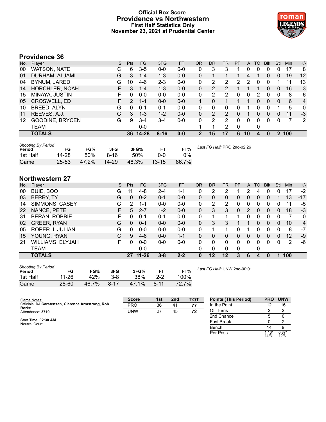# **Official Box Score Providence vs Northwestern First Half Statistics Only November 23, 2021 at Prudential Center**



# **Providence 36**

| No. | Player                 | S | <b>Pts</b>    | <b>FG</b> | 3FG      | <b>FT</b> | <b>OR</b> | <b>DR</b> | TR            | PF | A  | TO | <b>B</b> lk | Stl | Min | $+/-$          |
|-----|------------------------|---|---------------|-----------|----------|-----------|-----------|-----------|---------------|----|----|----|-------------|-----|-----|----------------|
| 00  | WATSON, NATE           | С | 6             | $3-5$     | 0-0      | $0-0$     | 0         | 3         | 3             |    | 0  | 0  |             | 0   | 17  | 8              |
| 01  | DURHAM, ALJAMI         | G | 3             | $1 - 4$   | $1 - 3$  | $0-0$     | 0         |           |               |    | 4  |    | 0           | 0   | 19  | 12             |
| 04  | BYNUM, JARED           | G | 10            | 4-6       | $2 - 3$  | $0-0$     | 0         | 2         | 2             | 2  | 2  | 0  |             |     | 11  | 13             |
| 14  | <b>HORCHLER, NOAH</b>  |   | 3             | $1 - 4$   | $1 - 3$  | $0 - 0$   | 0         | 2         | 2             |    |    |    | 0           | 0   | 16  | 3              |
| 15  | MINAYA, JUSTIN         |   | 0             | $0 - 0$   | $0 - 0$  | $0 - 0$   | 0         | 2         | 2             | 0  | 0  | 2  | 0           | 0   | 8   | 6              |
| 05  | <b>CROSWELL, ED</b>    |   | $\mathcal{P}$ | $1 - 1$   | $0 - 0$  | $0 - 0$   |           | 0         |               |    |    | 0  | 0           | 0   | 6   | $\overline{4}$ |
| 10  | <b>BREED, ALYN</b>     | G | 0             | 0-1       | $0 - 1$  | $0 - 0$   | 0         | 0         | 0             |    |    | 0  |             |     | 5   | $\mathbf{0}$   |
| 11  | REEVES, A.J.           | G | 3             | $1 - 3$   | $1 - 2$  | $0 - 0$   | 0         | 2         | $\mathcal{P}$ | 0  |    | 0  | 0           | 0   | 11  | $-3$           |
| 12  | <b>GOODINE, BRYCEN</b> | G | 9             | 3-4       | $3-4$    | $0 - 0$   | 0         | 2         | 2             | 0  | 0  | 0  | $\Omega$    | 0   | 7   | 2              |
|     | TEAM                   |   |               | $0 - 0$   |          |           |           | 1         | 2             | 0  |    | 0  |             |     |     |                |
|     | <b>TOTALS</b>          |   |               | 36 14-28  | $8 - 16$ | $0 - 0$   | 2         | 15        | 17            | 6  | 10 | Δ  | 0           | 2   | 100 |                |

| <b>Shooting By Period</b><br>Period | FG        | FG%   | 3FG      | 3FG%  |           | FT%   | Last FG Half: PRO 2nd-02:26 |
|-------------------------------------|-----------|-------|----------|-------|-----------|-------|-----------------------------|
| 1st Half                            | 14-28     | 50%   | $8 - 16$ | 50%   | ი-ი       | $0\%$ |                             |
| Game                                | $25 - 53$ | 47.2% | 14-29    | 48.3% | $13 - 15$ | 86.7% |                             |

# **Northwestern 27**

| No. | Player                  | S. | Pts | <b>FG</b> | 3FG     | <b>FT</b> | <b>OR</b> | <b>DR</b> | TR       | PF       | A | <b>TO</b> | <b>Blk</b>     | Stl          | Min | $+/-$          |
|-----|-------------------------|----|-----|-----------|---------|-----------|-----------|-----------|----------|----------|---|-----------|----------------|--------------|-----|----------------|
| 00  | BUIE, BOO               | G  | 11  | 4-8       | $2 - 4$ | 1-1       | 0         | 2         | 2        |          | 2 | 4         | 0              | Ω            | 17  | $-2$           |
| 03  | <b>BERRY, TY</b>        | G  | 0   | $0 - 2$   | $0 - 1$ | $0 - 0$   | 0         | 0         | 0        | 0        | 0 | 0         | $\overline{0}$ |              | 13  | $-17$          |
| 14  | SIMMONS, CASEY          | G  | 2   | 1-1       | $0 - 0$ | $0 - 0$   | 0         | 2         | 2        | $\Omega$ | 0 | 0         | 0              | 0            | 11  | -5             |
| 22  | NANCE, PETE             | F  | 5   | $2 - 7$   | $1 - 2$ | $0 - 0$   | 0         | 3         | 3        | 0        | 2 | 0         | $\overline{0}$ | 0            | 18  | $-3$           |
| 31  | <b>BERAN, ROBBIE</b>    | F  | 0   | $0 - 1$   | $0 - 1$ | $0 - 0$   | 0         |           |          |          | 0 | 0         | 0              | 0            |     | $\mathbf{0}$   |
| 02  | <b>GREER, RYAN</b>      | G  | 0   | $0 - 1$   | $0 - 0$ | $0 - 0$   | 0         | 3         | 3        |          |   | 0         | 0              | 0            | 10  | $\overline{4}$ |
| 05  | ROPER II, JULIAN        | G  | 0   | $0-0$     | $0 - 0$ | $0 - 0$   | 0         |           |          | U        |   | 0         | 0              | 0            | 8   | $-7$           |
| 15  | YOUNG, RYAN             | С  | 9   | $4-6$     | $0 - 0$ | $1 - 1$   | 0         | 0         | 0        | 0        | 0 | 0         | 0              | 0            | 12  | -9             |
| 21  | <b>WILLIAMS, ELYJAH</b> | F  | 0   | $0 - 0$   | $0 - 0$ | $0 - 0$   | 0         | 0         | $\Omega$ | 0        | 0 | 0         | $\Omega$       | <sup>0</sup> | 2   | -6             |
|     | <b>TEAM</b>             |    |     | $0 - 0$   |         |           | 0         | 0         | 0        | $\Omega$ |   | 0         |                |              |     |                |
|     | <b>TOTALS</b>           |    | 27  | $11 - 26$ | $3 - 8$ | $2 - 2$   | 0         | 12        | $12 \,$  | 3        | 6 | 4         | 0              |              | 100 |                |
|     |                         |    |     |           |         |           |           |           |          |          |   |           |                |              |     |                |

| <b>Shooting By Period</b><br>Period | FG    | FG%   | 3FG      | 3FG%  |          | FT%   |
|-------------------------------------|-------|-------|----------|-------|----------|-------|
| 1st Half                            | 11-26 | 42%   | $3 - 8$  | 38%   | $2-2$    | 100%  |
| Game                                | 28-60 | 46.7% | $8 - 17$ | 47.1% | $8 - 11$ | 72.7% |

*Last FG Half:* UNW 2nd-00:01

Per Poss

14/31 0.871 12/31

| Game Notes:                                                | <b>Score</b> | 1st | 2nd            | тот | <b>Points (This Period)</b> | <b>PRO</b> | <b>UNW</b> |
|------------------------------------------------------------|--------------|-----|----------------|-----|-----------------------------|------------|------------|
| Officials: DJ Carstensen, Clarence Armstrong, Rob<br>Rorke | <b>PRO</b>   | 36  | 4 <sup>1</sup> | 77  | In the Paint                |            | 16         |
| Attendance: 3719                                           | <b>UNW</b>   | 27  | 45             | 72  | Off Turns                   |            |            |
|                                                            |              |     |                |     | 2nd Chance                  |            |            |
| Start Time: 02:30 AM<br>Neutral Court:                     |              |     |                |     | <b>Fast Break</b>           |            |            |
|                                                            |              |     |                |     | Bench                       |            |            |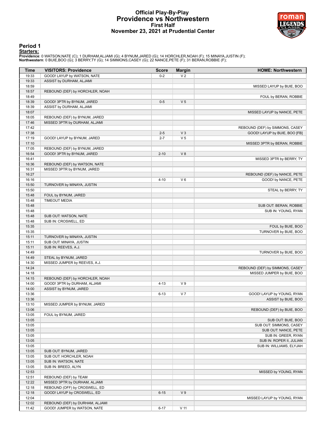## **Official Play-By-Play Providence vs Northwestern First Half November 23, 2021 at Prudential Center**



# **Period 1**

#### **Starters:**

Providence: 0 WATSON,NATE (C); 1 DURHAM,ALJAMI (G); 4 BYNUM,JARED (G); 14 HORCHLER,NOAH (F); 15 MINAYA,JUSTIN (F);<br>**Northwestern**: 0 BUIE,BOO (G); 3 BERRY,TY (G); 14 SIMMONS,CASEY (G); 22 NANCE,PETE (F); 31 BERAN,ROBBIE (F

| <b>Time</b> | <b>VISITORS: Providence</b>     | <b>Score</b> | <b>Margin</b>   | <b>HOME: Northwestern</b>       |
|-------------|---------------------------------|--------------|-----------------|---------------------------------|
| 19:33       | GOOD! LAYUP by WATSON, NATE     | $0 - 2$      | V <sub>2</sub>  |                                 |
| 19:33       | ASSIST by DURHAM, ALJAMI        |              |                 |                                 |
| 18:59       |                                 |              |                 | MISSED LAYUP by BUIE, BOO       |
| 18:57       | REBOUND (DEF) by HORCHLER, NOAH |              |                 |                                 |
| 18:49       |                                 |              |                 | FOUL by BERAN, ROBBIE           |
| 18:39       | GOOD! 3PTR by BYNUM, JARED      | $0-5$        | V <sub>5</sub>  |                                 |
| 18:39       | ASSIST by DURHAM, ALJAMI        |              |                 |                                 |
| 18:07       |                                 |              |                 | MISSED LAYUP by NANCE, PETE     |
| 18:05       | REBOUND (DEF) by BYNUM, JARED   |              |                 |                                 |
| 17:46       | MISSED 3PTR by DURHAM, ALJAMI   |              |                 |                                 |
| 17:42       |                                 |              |                 | REBOUND (DEF) by SIMMONS, CASEY |
| 17:38       |                                 | $2 - 5$      | V <sub>3</sub>  | GOOD! LAYUP by BUIE, BOO [FB]   |
| 17:19       | GOOD! LAYUP by BYNUM, JARED     | $2 - 7$      | V <sub>5</sub>  |                                 |
| 17:10       |                                 |              |                 | MISSED 3PTR by BERAN, ROBBIE    |
| 17:05       | REBOUND (DEF) by BYNUM, JARED   |              |                 |                                 |
| 16:54       | GOOD! 3PTR by BYNUM, JARED      | $2 - 10$     | V8              |                                 |
| 16:41       |                                 |              |                 | MISSED 3PTR by BERRY, TY        |
| 16:36       | REBOUND (DEF) by WATSON, NATE   |              |                 |                                 |
| 16:31       | MISSED 3PTR by BYNUM, JARED     |              |                 |                                 |
| 16:27       |                                 |              |                 | REBOUND (DEF) by NANCE, PETE    |
| 16:16       |                                 | $4 - 10$     | $V_6$           | GOOD! by NANCE, PETE            |
| 15:50       | TURNOVER by MINAYA, JUSTIN      |              |                 |                                 |
| 15:50       |                                 |              |                 | STEAL by BERRY, TY              |
| 15:48       | FOUL by BYNUM, JARED            |              |                 |                                 |
| 15:48       | <b>TIMEOUT MEDIA</b>            |              |                 |                                 |
| 15:48       |                                 |              |                 | SUB OUT: BERAN, ROBBIE          |
| 15:48       |                                 |              |                 | SUB IN: YOUNG, RYAN             |
| 15:48       | SUB OUT: WATSON, NATE           |              |                 |                                 |
| 15:48       | SUB IN: CROSWELL, ED            |              |                 |                                 |
| 15:35       |                                 |              |                 | FOUL by BUIE, BOO               |
| 15:35       |                                 |              |                 | TURNOVER by BUIE, BOO           |
| 15:11       | TURNOVER by MINAYA, JUSTIN      |              |                 |                                 |
| 15:11       | SUB OUT: MINAYA, JUSTIN         |              |                 |                                 |
| 15:11       | SUB IN: REEVES, A.J.            |              |                 |                                 |
| 14:49       |                                 |              |                 | TURNOVER by BUIE, BOO           |
| 14:49       | STEAL by BYNUM, JARED           |              |                 |                                 |
| 14:30       | MISSED JUMPER by REEVES, A.J.   |              |                 |                                 |
| 14:24       |                                 |              |                 | REBOUND (DEF) by SIMMONS, CASEY |
| 14:18       |                                 |              |                 | MISSED JUMPER by BUIE, BOO      |
| 14:15       | REBOUND (DEF) by HORCHLER, NOAH |              |                 |                                 |
| 14:00       | GOOD! 3PTR by DURHAM, ALJAMI    | $4 - 13$     | V <sub>9</sub>  |                                 |
| 14:00       | ASSIST by BYNUM, JARED          |              |                 |                                 |
| 13:36       |                                 | $6 - 13$     | V <sub>7</sub>  | GOOD! LAYUP by YOUNG, RYAN      |
| 13:36       |                                 |              |                 | ASSIST by BUIE, BOO             |
| 13:10       | MISSED JUMPER by BYNUM, JARED   |              |                 |                                 |
| 13:06       |                                 |              |                 | REBOUND (DEF) by BUIE, BOO      |
| 13:05       | FOUL by BYNUM, JARED            |              |                 |                                 |
| 13:05       |                                 |              |                 | SUB OUT: BUIE, BOO              |
| 13:05       |                                 |              |                 | SUB OUT: SIMMONS, CASEY         |
| 13:05       |                                 |              |                 | SUB OUT: NANCE, PETE            |
| 13:05       |                                 |              |                 | SUB IN: GREER, RYAN             |
| 13:05       |                                 |              |                 | SUB IN: ROPER II, JULIAN        |
| 13:05       |                                 |              |                 | SUB IN: WILLIAMS, ELYJAH        |
| 13:05       | SUB OUT: BYNUM, JARED           |              |                 |                                 |
| 13:05       | SUB OUT: HORCHLER, NOAH         |              |                 |                                 |
| 13:05       | SUB IN: WATSON, NATE            |              |                 |                                 |
| 13:05       | SUB IN: BREED, ALYN             |              |                 |                                 |
| 12:53       |                                 |              |                 | MISSED by YOUNG, RYAN           |
| 12:51       | REBOUND (DEF) by TEAM           |              |                 |                                 |
| 12:22       | MISSED 3PTR by DURHAM, ALJAMI   |              |                 |                                 |
| 12:18       | REBOUND (OFF) by CROSWELL, ED   |              |                 |                                 |
| 12:18       | GOOD! LAYUP by CROSWELL, ED     | $6 - 15$     | V <sub>9</sub>  |                                 |
| 12:04       |                                 |              |                 | MISSED LAYUP by YOUNG, RYAN     |
| 12:02       | REBOUND (DEF) by DURHAM, ALJAMI |              |                 |                                 |
| 11:42       | GOOD! JUMPER by WATSON, NATE    | $6 - 17$     | V <sub>11</sub> |                                 |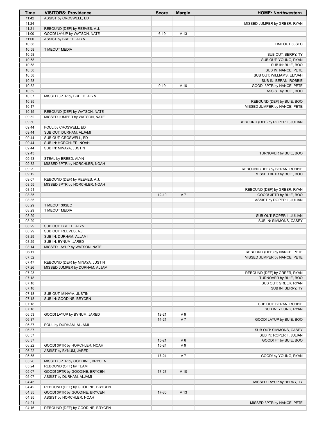| Time           | <b>VISITORS: Providence</b>                               | <b>Score</b>           | <b>Margin</b>                    | <b>HOME: Northwestern</b>         |
|----------------|-----------------------------------------------------------|------------------------|----------------------------------|-----------------------------------|
| 11:42          | ASSIST by CROSWELL, ED                                    |                        |                                  |                                   |
| 11:24          |                                                           |                        |                                  | MISSED JUMPER by GREER, RYAN      |
| 11:21          | REBOUND (DEF) by REEVES, A.J.                             |                        |                                  |                                   |
| 11:00          | GOOD! LAYUP by WATSON, NATE                               | $6 - 19$               | V <sub>13</sub>                  |                                   |
| 11:00<br>10:58 | ASSIST by BREED, ALYN                                     |                        |                                  | TIMEOUT 30SEC                     |
| 10:58          | <b>TIMEOUT MEDIA</b>                                      |                        |                                  |                                   |
| 10:58          |                                                           |                        |                                  | SUB OUT: BERRY, TY                |
| 10:58          |                                                           |                        |                                  | SUB OUT: YOUNG, RYAN              |
| 10:58          |                                                           |                        |                                  | SUB IN: BUIE, BOO                 |
| 10:58          |                                                           |                        |                                  | SUB IN: NANCE, PETE               |
| 10:58          |                                                           |                        |                                  | SUB OUT: WILLIAMS, ELYJAH         |
| 10:58          |                                                           |                        |                                  | SUB IN: BERAN, ROBBIE             |
| 10:52          |                                                           | $9 - 19$               | $V$ 10                           | GOOD! 3PTR by NANCE, PETE         |
| 10:52          |                                                           |                        |                                  | ASSIST by BUIE, BOO               |
| 10:37<br>10:35 | MISSED 3PTR by BREED, ALYN                                |                        |                                  | REBOUND (DEF) by BUIE, BOO        |
| 10:17          |                                                           |                        |                                  | MISSED JUMPER by NANCE, PETE      |
| 10:15          | REBOUND (DEF) by WATSON, NATE                             |                        |                                  |                                   |
| 09:52          | MISSED JUMPER by WATSON, NATE                             |                        |                                  |                                   |
| 09:50          |                                                           |                        |                                  | REBOUND (DEF) by ROPER II, JULIAN |
| 09:44          | FOUL by CROSWELL, ED                                      |                        |                                  |                                   |
| 09:44          | SUB OUT: DURHAM, ALJAMI                                   |                        |                                  |                                   |
| 09:44          | SUB OUT: CROSWELL, ED                                     |                        |                                  |                                   |
| 09:44          | SUB IN: HORCHLER, NOAH                                    |                        |                                  |                                   |
| 09:44          | SUB IN: MINAYA, JUSTIN                                    |                        |                                  |                                   |
| 09:43<br>09:43 | STEAL by BREED, ALYN                                      |                        |                                  | TURNOVER by BUIE, BOO             |
| 09:32          | MISSED 3PTR by HORCHLER, NOAH                             |                        |                                  |                                   |
| 09:29          |                                                           |                        |                                  | REBOUND (DEF) by BERAN, ROBBIE    |
| 09:12          |                                                           |                        |                                  | MISSED 3PTR by BUIE, BOO          |
| 09:07          | REBOUND (DEF) by REEVES, A.J.                             |                        |                                  |                                   |
| 08:55          | MISSED 3PTR by HORCHLER, NOAH                             |                        |                                  |                                   |
| 08:51          |                                                           |                        |                                  | REBOUND (DEF) by GREER, RYAN      |
| 08:35          |                                                           | $12 - 19$              | V <sub>7</sub>                   | GOOD! 3PTR by BUIE, BOO           |
| 08:35          |                                                           |                        |                                  | ASSIST by ROPER II, JULIAN        |
| 08:29<br>08:29 | TIMEOUT 30SEC<br><b>TIMEOUT MEDIA</b>                     |                        |                                  |                                   |
| 08:29          |                                                           |                        |                                  | SUB OUT: ROPER II, JULIAN         |
| 08:29          |                                                           |                        |                                  | SUB IN: SIMMONS, CASEY            |
| 08:29          | SUB OUT: BREED, ALYN                                      |                        |                                  |                                   |
| 08:29          | SUB OUT: REEVES, A.J.                                     |                        |                                  |                                   |
| 08:29          | SUB IN: DURHAM, ALJAMI                                    |                        |                                  |                                   |
| 08:29          | SUB IN: BYNUM, JARED                                      |                        |                                  |                                   |
| 08:14          | MISSED LAYUP by WATSON, NATE                              |                        |                                  |                                   |
| 08:11          |                                                           |                        |                                  | REBOUND (DEF) by NANCE, PETE      |
| 07:52<br>07:47 | REBOUND (DEF) by MINAYA, JUSTIN                           |                        |                                  | MISSED JUMPER by NANCE, PETE      |
| 07:26          | MISSED JUMPER by DURHAM, ALJAMI                           |                        |                                  |                                   |
| 07:23          |                                                           |                        |                                  | REBOUND (DEF) by GREER, RYAN      |
| 07:18          |                                                           |                        |                                  | TURNOVER by BUIE, BOO             |
| 07:18          |                                                           |                        |                                  | SUB OUT: GREER, RYAN              |
| 07:18          |                                                           |                        |                                  | SUB IN: BERRY, TY                 |
| 07:18          | SUB OUT: MINAYA, JUSTIN                                   |                        |                                  |                                   |
| 07:18          | SUB IN: GOODINE, BRYCEN                                   |                        |                                  |                                   |
| 07:18          |                                                           |                        |                                  | SUB OUT: BERAN, ROBBIE            |
| 07:18          | GOOD! LAYUP by BYNUM, JARED                               |                        |                                  | SUB IN: YOUNG, RYAN               |
| 06:53<br>06:37 |                                                           | $12 - 21$<br>$14 - 21$ | V <sub>9</sub><br>V <sub>7</sub> | GOOD! LAYUP by BUIE, BOO          |
| 06:37          | FOUL by DURHAM, ALJAMI                                    |                        |                                  |                                   |
| 06:37          |                                                           |                        |                                  | SUB OUT: SIMMONS, CASEY           |
| 06:37          |                                                           |                        |                                  | SUB IN: ROPER II, JULIAN          |
| 06:37          |                                                           | $15 - 21$              | $V_6$                            | GOOD! FT by BUIE, BOO             |
| 06:22          | GOOD! 3PTR by HORCHLER, NOAH                              | $15 - 24$              | V <sub>9</sub>                   |                                   |
| 06:22          | ASSIST by BYNUM, JARED                                    |                        |                                  |                                   |
| 05:55          |                                                           | $17 - 24$              | V <sub>7</sub>                   | GOOD! by YOUNG, RYAN              |
| 05:26          | MISSED 3PTR by GOODINE, BRYCEN                            |                        |                                  |                                   |
| 05:24          | REBOUND (OFF) by TEAM                                     |                        |                                  |                                   |
| 05:07<br>05:07 | GOOD! 3PTR by GOODINE, BRYCEN<br>ASSIST by DURHAM, ALJAMI | $17 - 27$              | $V$ 10                           |                                   |
| 04:45          |                                                           |                        |                                  | MISSED LAYUP by BERRY, TY         |
| 04:42          | REBOUND (DEF) by GOODINE, BRYCEN                          |                        |                                  |                                   |
| 04:35          | GOOD! 3PTR by GOODINE, BRYCEN                             | 17-30                  | $V$ 13                           |                                   |
| 04:35          | ASSIST by HORCHLER, NOAH                                  |                        |                                  |                                   |
| 04:21          |                                                           |                        |                                  | MISSED 3PTR by NANCE, PETE        |
| 04:16          | REBOUND (DEF) by GOODINE, BRYCEN                          |                        |                                  |                                   |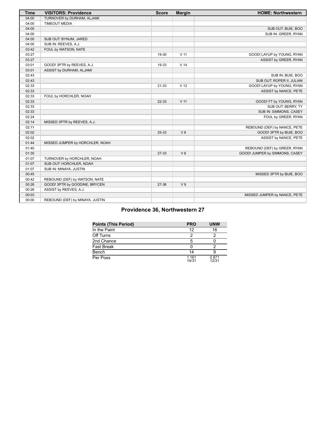| <b>Time</b> | <b>VISITORS: Providence</b>     | <b>Score</b> | <b>Margin</b>   | <b>HOME: Northwestern</b>      |
|-------------|---------------------------------|--------------|-----------------|--------------------------------|
| 04:00       | TURNOVER by DURHAM, ALJAMI      |              |                 |                                |
| 04:00       | <b>TIMEOUT MEDIA</b>            |              |                 |                                |
| 04:00       |                                 |              |                 | SUB OUT: BUIE, BOO             |
| 04:00       |                                 |              |                 | SUB IN: GREER, RYAN            |
| 04:00       | SUB OUT: BYNUM, JARED           |              |                 |                                |
| 04:00       | SUB IN: REEVES, A.J.            |              |                 |                                |
| 03:42       | FOUL by WATSON, NATE            |              |                 |                                |
| 03:27       |                                 | 19-30        | $V$ 11          | GOOD! LAYUP by YOUNG, RYAN     |
| 03:27       |                                 |              |                 | ASSIST by GREER, RYAN          |
| 03:01       | GOOD! 3PTR by REEVES, A.J.      | 19-33        | V <sub>14</sub> |                                |
| 03:01       | ASSIST by DURHAM, ALJAMI        |              |                 |                                |
| 02:43       |                                 |              |                 | SUB IN: BUIE, BOO              |
| 02:43       |                                 |              |                 | SUB OUT: ROPER II, JULIAN      |
| 02:33       |                                 | 21-33        | V <sub>12</sub> | GOOD! LAYUP by YOUNG, RYAN     |
| 02:33       |                                 |              |                 | ASSIST by NANCE, PETE          |
| 02:33       | FOUL by HORCHLER, NOAH          |              |                 |                                |
| 02:33       |                                 | 22-33        | $V$ 11          | GOOD! FT by YOUNG, RYAN        |
| 02:33       |                                 |              |                 | SUB OUT: BERRY, TY             |
| 02:33       |                                 |              |                 | SUB IN: SIMMONS, CASEY         |
| 02:24       |                                 |              |                 | FOUL by GREER, RYAN            |
| 02:14       | MISSED 3PTR by REEVES, A.J.     |              |                 |                                |
| 02:11       |                                 |              |                 | REBOUND (DEF) by NANCE, PETE   |
| 02:02       |                                 | 25-33        | V8              | GOOD! 3PTR by BUIE, BOO        |
| 02:02       |                                 |              |                 | ASSIST by NANCE, PETE          |
| 01:44       | MISSED JUMPER by HORCHLER, NOAH |              |                 |                                |
| 01:40       |                                 |              |                 | REBOUND (DEF) by GREER, RYAN   |
| 01:30       |                                 | 27-33        | V <sub>6</sub>  | GOOD! JUMPER by SIMMONS, CASEY |
| 01:07       | TURNOVER by HORCHLER, NOAH      |              |                 |                                |
| 01:07       | SUB OUT: HORCHLER, NOAH         |              |                 |                                |
| 01:07       | SUB IN: MINAYA, JUSTIN          |              |                 |                                |
| 00:45       |                                 |              |                 | MISSED 3PTR by BUIE, BOO       |
| 00:42       | REBOUND (DEF) by WATSON, NATE   |              |                 |                                |
| 00:26       | GOOD! 3PTR by GOODINE, BRYCEN   | 27-36        | V <sub>9</sub>  |                                |
| 00:26       | ASSIST by REEVES, A.J.          |              |                 |                                |
| 00:03       |                                 |              |                 | MISSED JUMPER by NANCE, PETE   |
| 00:00       | REBOUND (DEF) by MINAYA, JUSTIN |              |                 |                                |

# **Providence 36, Northwestern 27**

| <b>Points (This Period)</b> | <b>PRO</b>     | <b>UNW</b>     |
|-----------------------------|----------------|----------------|
| In the Paint                | 12             | 16             |
| Off Turns                   | 2              |                |
| 2nd Chance                  | 5              |                |
| Fast Break                  |                |                |
| Bench                       | 14             |                |
| Per Poss                    | 1.161<br>14/31 | 0.871<br>12/31 |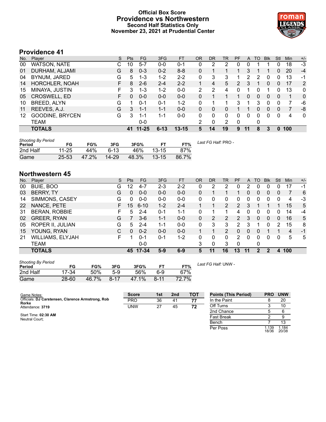# **Official Box Score Providence vs Northwestern Second Half Statistics Only November 23, 2021 at Prudential Center**



# **Providence 41**

| No. | Plaver                 | S  | <b>Pts</b> | FG        | 3FG      | <b>FT</b> | <b>OR</b> | <b>DR</b> | TR | PF | A  | TO | <b>B</b> lk | Stl      | Min | $+/-$          |
|-----|------------------------|----|------------|-----------|----------|-----------|-----------|-----------|----|----|----|----|-------------|----------|-----|----------------|
| 00  | <b>WATSON, NATE</b>    |    | 10         | 5-7       | $0 - 0$  | $0 - 1$   | 0         | 2         | 2  |    | 0  |    |             | ი        | 18  | -3             |
| 01  | DURHAM, ALJAMI         | G  | 8          | $0 - 3$   | $0 - 2$  | $8 - 8$   | 0         |           |    |    | 3  |    |             | 0        | 20  | $-4$           |
| 04  | BYNUM, JARED           | G  | 5          | 1-3       | $1 - 2$  | $2 - 2$   | 0         | 3         | 3  |    | 2  | 2  | 0           | 0        | 13  | -1             |
| 14  | <b>HORCHLER, NOAH</b>  |    | 8          | $2 - 6$   | $2 - 4$  | $2 - 2$   |           | 4         | 5  | 2  | 3  |    | 0           | 0        | 17  | 2              |
| 15  | MINAYA, JUSTIN         | F. | 3          | 1-3       | $1-2$    | $0 - 0$   | 2         | 2         | 4  |    |    | 0  |             | O        | 13  | $\mathbf{0}$   |
| 05  | CROSWELL, ED           | F. | $\Omega$   | $0 - 0$   | $0 - 0$  | $0 - 0$   | 0         |           |    |    | 0  | 0  | $\Omega$    | 0        |     | $\overline{0}$ |
| 10  | BREED, ALYN            | G  | 1          | $0 - 1$   | $0 - 1$  | $1 - 2$   | 0         |           |    | 3  |    | 3  | 0           | 0        |     | -6             |
| 11  | REEVES, A.J.           | G  | 3          | $1 - 1$   | $1 - 1$  | $0 - 0$   | 0         | 0         | 0  |    |    | 0  | 0           | 0        |     | -8             |
| 12  | <b>GOODINE, BRYCEN</b> | G  | 3          | 1-1       | 1-1      | $0 - 0$   | 0         | 0         | 0  | 0  | 0  | 0  | 0           | $\Omega$ | 4   | $\mathbf{0}$   |
|     | <b>TEAM</b>            |    |            | $0 - 0$   |          |           | っ         | 0         | 2  | 0  |    | 0  |             |          |     |                |
|     | <b>TOTALS</b>          |    | 41         | $11 - 25$ | $6 - 13$ | 13-15     | 5         | 14.       | 19 | 9  | 11 | 8  | З           | 0        | 100 |                |

| <b>Shooting By Period</b><br>Period | FG        | FG%   | 3FG       | 3FG%  | <b>FT</b> | FT%   | Last FG Half: PRO - |
|-------------------------------------|-----------|-------|-----------|-------|-----------|-------|---------------------|
| 2nd Half                            | $11 - 25$ | 44%   | 6-13      | 46%   | $13 - 15$ | 87%   |                     |
| Game                                | 25-53     | 47.2% | $14 - 29$ | 48.3% | $13 - 15$ | 86.7% |                     |

# **Northwestern 45**

| No. | Player                  | S  | <b>Pts</b> | <b>FG</b> | 3FG     | <b>FT</b> | OR | DR | TR             | PF             | A  | TO       | <b>B</b> lk | Stl      | Min | $+/-$ |
|-----|-------------------------|----|------------|-----------|---------|-----------|----|----|----------------|----------------|----|----------|-------------|----------|-----|-------|
| 00  | BUIE, BOO               | G  | 12         | 4-7       | $2 - 3$ | $2 - 2$   | 0  | 2  | $\mathcal{P}$  | 0              | 2  | 0        | 0           | 0        | 17  | -1    |
| 03  | <b>BERRY, TY</b>        | G  | $\Omega$   | $0 - 0$   | $0 - 0$ | $0 - 0$   | 0  |    |                |                | 0  | $\Omega$ | 0           | $\Omega$ | 7   | 6     |
| 14  | SIMMONS, CASEY          | G  | 0          | $0 - 0$   | $0 - 0$ | $0 - 0$   | 0  | 0  | 0              | 0              | 0  | 0        | 0           | 0        | 4   | -3    |
| 22  | NANCE, PETE             | F  | 15         | $6 - 10$  | $1 - 2$ | $2 - 4$   |    |    | 2              | $\overline{2}$ | 3  |          |             |          | 15  | 5     |
| 31  | <b>BERAN, ROBBIE</b>    | F  | 5          | $2 - 4$   | $0 - 1$ | $1 - 1$   | 0  |    |                | 4              | 0  | 0        | 0           | 0        | 14  | $-4$  |
| 02  | <b>GREER, RYAN</b>      | G  |            | $3-6$     | $1 - 1$ | $0 - 0$   | 0  | 2  | $\overline{2}$ | $\overline{2}$ | 3  | 0        | 0           | 0        | 16  | 5     |
| 05  | <b>ROPER II, JULIAN</b> | G  | 5          | $2 - 4$   | $1 - 1$ | $0 - 0$   | 0  | 3  | 3              | 2              | 3  |          | 0           | 2        | 15  | 8     |
| 15  | YOUNG, RYAN             | C  | $\Omega$   | $0 - 2$   | $0 - 0$ | $0 - 0$   |    |    | $\overline{2}$ | 0              | 0  | 0        |             |          | 4   | -1    |
| 21  | <b>WILLIAMS, ELYJAH</b> | F. |            | $0 - 1$   | $0 - 1$ | $1 - 2$   | 0  | 0  | 0              | 2              | 0  | 0        | 0           | 0        | 5   | 5     |
|     | <b>TEAM</b>             |    |            | $0 - 0$   |         |           | 3  | 0  | 3              | $\Omega$       |    | 0        |             |          |     |       |
|     | <b>TOTALS</b>           |    |            | 45 17-34  | $5-9$   | $6-9$     | 5  | 11 | 16             | 13             | 11 | 2        | 2           | 4        | 100 |       |

| <b>Shooting By Period</b> |           |       |          |       |          |       |
|---------------------------|-----------|-------|----------|-------|----------|-------|
| Period                    | FG        | FG%   | 3FG      | 3FG%  |          | FT%   |
| 2nd Half                  | $17 - 34$ | .50%  | 5-9      | 56%   | հ Զ      | 67%   |
| Game                      | $28 - 60$ | 46.7% | $8 - 17$ | 47.1% | $8 - 11$ | 72.7% |

*Last FG Half:* UNW -

| Game Notes:                                                | <b>Score</b> | 1st | 2 <sub>nd</sub> | <b>TOT</b> | <b>Points (This Period)</b> | <b>PRO</b>     | <b>UNW</b>     |
|------------------------------------------------------------|--------------|-----|-----------------|------------|-----------------------------|----------------|----------------|
| Officials: DJ Carstensen, Clarence Armstrong, Rob<br>Rorke | <b>PRO</b>   | 36  | 41              | 77         | In the Paint                |                | 20             |
| Attendance: 3719                                           | <b>UNW</b>   | 27  | 45              | 72         | Off Turns                   |                | 10             |
|                                                            |              |     |                 |            | 2nd Chance                  |                | 6              |
| Start Time: 02:30 AM<br>Neutral Court:                     |              |     |                 |            | <b>Fast Break</b>           |                |                |
|                                                            |              |     |                 |            | Bench                       |                |                |
|                                                            |              |     |                 |            | Per Poss                    | 1.139<br>18/36 | 1.184<br>20/38 |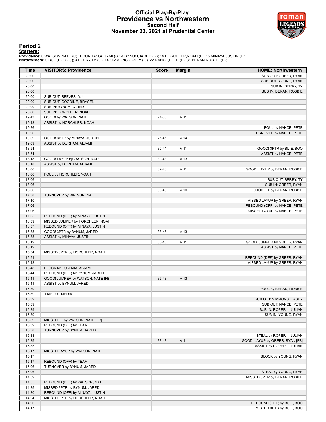# **Official Play-By-Play Providence vs Northwestern Second Half November 23, 2021 at Prudential Center**



# **Period 2**

#### **Starters:**

Providence: 0 WATSON,NATE (C); 1 DURHAM,ALJAMI (G); 4 BYNUM,JARED (G); 14 HORCHLER,NOAH (F); 15 MINAYA,JUSTIN (F);<br>**Northwestern**: 0 BUIE,BOO (G); 3 BERRY,TY (G); 14 SIMMONS,CASEY (G); 22 NANCE,PETE (F); 31 BERAN,ROBBIE (F

| 20:00<br>SUB OUT: GREER, RYAN<br>20:00<br>SUB OUT: YOUNG, RYAN<br>20:00<br>SUB IN: BERRY, TY<br>20:00<br>SUB IN: BERAN, ROBBIE<br>20:00<br>SUB OUT: REEVES, A.J.<br>20:00<br>SUB OUT: GOODINE, BRYCEN<br>20:00<br>SUB IN: BYNUM, JARED<br>20:00<br>SUB IN: HORCHLER, NOAH<br>19:43<br>$V$ 11<br>GOOD! by WATSON, NATE<br>27-38<br>19:43<br>ASSIST by HORCHLER, NOAH<br>19:26<br>FOUL by NANCE, PETE<br>19:26<br>TURNOVER by NANCE, PETE<br>19:09<br>V <sub>14</sub><br>GOOD! 3PTR by MINAYA, JUSTIN<br>$27 - 41$<br>19:09<br>ASSIST by DURHAM, ALJAMI<br>18:54<br>$30 - 41$<br>V <sub>11</sub><br>GOOD! 3PTR by BUIE, BOO<br>18:54<br>ASSIST by NANCE, PETE<br>18:18<br>GOOD! LAYUP by WATSON, NATE<br>$30 - 43$<br>V <sub>13</sub><br>18:18<br>ASSIST by DURHAM, ALJAMI<br>$V$ 11<br>18:06<br>$32 - 43$<br>GOOD! LAYUP by BERAN, ROBBIE<br>18:06<br>FOUL by HORCHLER, NOAH<br>18:06<br>SUB OUT: BERRY, TY<br>18:06<br>SUB IN: GREER, RYAN<br>$V$ 10<br>18:06<br>33-43<br>GOOD! FT by BERAN, ROBBIE<br>17:38<br>TURNOVER by WATSON, NATE<br>17:10<br>MISSED LAYUP by GREER, RYAN<br>17:06<br>REBOUND (OFF) by NANCE, PETE<br>17:06<br>MISSED LAYUP by NANCE, PETE<br>17:05<br>REBOUND (DEF) by MINAYA, JUSTIN<br>16:39<br>MISSED JUMPER by HORCHLER, NOAH<br>16:37<br>REBOUND (OFF) by MINAYA, JUSTIN<br>16:35<br>GOOD! 3PTR by BYNUM, JARED<br>33-46<br>V <sub>13</sub><br>16:35<br>ASSIST by MINAYA, JUSTIN<br>16:19<br>35-46<br>$V$ 11<br>GOOD! JUMPER by GREER, RYAN<br>16:19<br>ASSIST by NANCE, PETE<br>15:54<br>MISSED 3PTR by HORCHLER, NOAH<br>15:51<br>REBOUND (DEF) by GREER, RYAN<br>15:48<br>MISSED LAYUP by GREER, RYAN<br>15:48<br>BLOCK by DURHAM, ALJAMI<br>REBOUND (DEF) by BYNUM, JARED<br>15:44<br>15:41<br>35-48<br>V <sub>13</sub><br>GOOD! JUMPER by WATSON, NATE [FB]<br>15:41<br>ASSIST by BYNUM, JARED<br>15:39<br>FOUL by BERAN, ROBBIE<br>15:39<br><b>TIMEOUT MEDIA</b><br>15:39<br>SUB OUT: SIMMONS, CASEY<br>15:39<br>SUB OUT: NANCE, PETE<br>15:39<br>SUB IN: ROPER II, JULIAN<br>15:39<br>SUB IN: YOUNG, RYAN<br>15:39<br>MISSED FT by WATSON, NATE [FB]<br>15:39<br>REBOUND (OFF) by TEAM<br>15:38<br>TURNOVER by BYNUM, JARED<br>15:38<br>STEAL by ROPER II, JULIAN<br>$V$ 11<br>15:35<br>37-48<br>GOOD! LAYUP by GREER, RYAN [FB]<br>15:35<br>ASSIST by ROPER II, JULIAN<br>15:17<br>MISSED LAYUP by WATSON, NATE<br>15:17<br>BLOCK by YOUNG, RYAN<br>15:17<br>REBOUND (OFF) by TEAM<br>15:06<br>TURNOVER by BYNUM, JARED<br>15:06<br>STEAL by YOUNG, RYAN<br>14:59<br>MISSED 3PTR by BERAN, ROBBIE<br>14:55<br>REBOUND (DEF) by WATSON, NATE<br>14:35<br>MISSED 3PTR by BYNUM, JARED<br>14:30<br>REBOUND (OFF) by MINAYA, JUSTIN<br>14:24<br>MISSED 3PTR by HORCHLER, NOAH<br>14:20<br>REBOUND (DEF) by BUIE, BOO<br>14:17<br>MISSED 3PTR by BUIE, BOO | Time | <b>VISITORS: Providence</b> | <b>Score</b> | <b>Margin</b> | <b>HOME: Northwestern</b> |
|--------------------------------------------------------------------------------------------------------------------------------------------------------------------------------------------------------------------------------------------------------------------------------------------------------------------------------------------------------------------------------------------------------------------------------------------------------------------------------------------------------------------------------------------------------------------------------------------------------------------------------------------------------------------------------------------------------------------------------------------------------------------------------------------------------------------------------------------------------------------------------------------------------------------------------------------------------------------------------------------------------------------------------------------------------------------------------------------------------------------------------------------------------------------------------------------------------------------------------------------------------------------------------------------------------------------------------------------------------------------------------------------------------------------------------------------------------------------------------------------------------------------------------------------------------------------------------------------------------------------------------------------------------------------------------------------------------------------------------------------------------------------------------------------------------------------------------------------------------------------------------------------------------------------------------------------------------------------------------------------------------------------------------------------------------------------------------------------------------------------------------------------------------------------------------------------------------------------------------------------------------------------------------------------------------------------------------------------------------------------------------------------------------------------------------------------------------------------------------------------------------------------------------------------------------------------------------------------------------------------------------------------------------------------------------------------------------------------------------------------------------------------------------------------|------|-----------------------------|--------------|---------------|---------------------------|
|                                                                                                                                                                                                                                                                                                                                                                                                                                                                                                                                                                                                                                                                                                                                                                                                                                                                                                                                                                                                                                                                                                                                                                                                                                                                                                                                                                                                                                                                                                                                                                                                                                                                                                                                                                                                                                                                                                                                                                                                                                                                                                                                                                                                                                                                                                                                                                                                                                                                                                                                                                                                                                                                                                                                                                                            |      |                             |              |               |                           |
|                                                                                                                                                                                                                                                                                                                                                                                                                                                                                                                                                                                                                                                                                                                                                                                                                                                                                                                                                                                                                                                                                                                                                                                                                                                                                                                                                                                                                                                                                                                                                                                                                                                                                                                                                                                                                                                                                                                                                                                                                                                                                                                                                                                                                                                                                                                                                                                                                                                                                                                                                                                                                                                                                                                                                                                            |      |                             |              |               |                           |
|                                                                                                                                                                                                                                                                                                                                                                                                                                                                                                                                                                                                                                                                                                                                                                                                                                                                                                                                                                                                                                                                                                                                                                                                                                                                                                                                                                                                                                                                                                                                                                                                                                                                                                                                                                                                                                                                                                                                                                                                                                                                                                                                                                                                                                                                                                                                                                                                                                                                                                                                                                                                                                                                                                                                                                                            |      |                             |              |               |                           |
|                                                                                                                                                                                                                                                                                                                                                                                                                                                                                                                                                                                                                                                                                                                                                                                                                                                                                                                                                                                                                                                                                                                                                                                                                                                                                                                                                                                                                                                                                                                                                                                                                                                                                                                                                                                                                                                                                                                                                                                                                                                                                                                                                                                                                                                                                                                                                                                                                                                                                                                                                                                                                                                                                                                                                                                            |      |                             |              |               |                           |
|                                                                                                                                                                                                                                                                                                                                                                                                                                                                                                                                                                                                                                                                                                                                                                                                                                                                                                                                                                                                                                                                                                                                                                                                                                                                                                                                                                                                                                                                                                                                                                                                                                                                                                                                                                                                                                                                                                                                                                                                                                                                                                                                                                                                                                                                                                                                                                                                                                                                                                                                                                                                                                                                                                                                                                                            |      |                             |              |               |                           |
|                                                                                                                                                                                                                                                                                                                                                                                                                                                                                                                                                                                                                                                                                                                                                                                                                                                                                                                                                                                                                                                                                                                                                                                                                                                                                                                                                                                                                                                                                                                                                                                                                                                                                                                                                                                                                                                                                                                                                                                                                                                                                                                                                                                                                                                                                                                                                                                                                                                                                                                                                                                                                                                                                                                                                                                            |      |                             |              |               |                           |
|                                                                                                                                                                                                                                                                                                                                                                                                                                                                                                                                                                                                                                                                                                                                                                                                                                                                                                                                                                                                                                                                                                                                                                                                                                                                                                                                                                                                                                                                                                                                                                                                                                                                                                                                                                                                                                                                                                                                                                                                                                                                                                                                                                                                                                                                                                                                                                                                                                                                                                                                                                                                                                                                                                                                                                                            |      |                             |              |               |                           |
|                                                                                                                                                                                                                                                                                                                                                                                                                                                                                                                                                                                                                                                                                                                                                                                                                                                                                                                                                                                                                                                                                                                                                                                                                                                                                                                                                                                                                                                                                                                                                                                                                                                                                                                                                                                                                                                                                                                                                                                                                                                                                                                                                                                                                                                                                                                                                                                                                                                                                                                                                                                                                                                                                                                                                                                            |      |                             |              |               |                           |
|                                                                                                                                                                                                                                                                                                                                                                                                                                                                                                                                                                                                                                                                                                                                                                                                                                                                                                                                                                                                                                                                                                                                                                                                                                                                                                                                                                                                                                                                                                                                                                                                                                                                                                                                                                                                                                                                                                                                                                                                                                                                                                                                                                                                                                                                                                                                                                                                                                                                                                                                                                                                                                                                                                                                                                                            |      |                             |              |               |                           |
|                                                                                                                                                                                                                                                                                                                                                                                                                                                                                                                                                                                                                                                                                                                                                                                                                                                                                                                                                                                                                                                                                                                                                                                                                                                                                                                                                                                                                                                                                                                                                                                                                                                                                                                                                                                                                                                                                                                                                                                                                                                                                                                                                                                                                                                                                                                                                                                                                                                                                                                                                                                                                                                                                                                                                                                            |      |                             |              |               |                           |
|                                                                                                                                                                                                                                                                                                                                                                                                                                                                                                                                                                                                                                                                                                                                                                                                                                                                                                                                                                                                                                                                                                                                                                                                                                                                                                                                                                                                                                                                                                                                                                                                                                                                                                                                                                                                                                                                                                                                                                                                                                                                                                                                                                                                                                                                                                                                                                                                                                                                                                                                                                                                                                                                                                                                                                                            |      |                             |              |               |                           |
|                                                                                                                                                                                                                                                                                                                                                                                                                                                                                                                                                                                                                                                                                                                                                                                                                                                                                                                                                                                                                                                                                                                                                                                                                                                                                                                                                                                                                                                                                                                                                                                                                                                                                                                                                                                                                                                                                                                                                                                                                                                                                                                                                                                                                                                                                                                                                                                                                                                                                                                                                                                                                                                                                                                                                                                            |      |                             |              |               |                           |
|                                                                                                                                                                                                                                                                                                                                                                                                                                                                                                                                                                                                                                                                                                                                                                                                                                                                                                                                                                                                                                                                                                                                                                                                                                                                                                                                                                                                                                                                                                                                                                                                                                                                                                                                                                                                                                                                                                                                                                                                                                                                                                                                                                                                                                                                                                                                                                                                                                                                                                                                                                                                                                                                                                                                                                                            |      |                             |              |               |                           |
|                                                                                                                                                                                                                                                                                                                                                                                                                                                                                                                                                                                                                                                                                                                                                                                                                                                                                                                                                                                                                                                                                                                                                                                                                                                                                                                                                                                                                                                                                                                                                                                                                                                                                                                                                                                                                                                                                                                                                                                                                                                                                                                                                                                                                                                                                                                                                                                                                                                                                                                                                                                                                                                                                                                                                                                            |      |                             |              |               |                           |
|                                                                                                                                                                                                                                                                                                                                                                                                                                                                                                                                                                                                                                                                                                                                                                                                                                                                                                                                                                                                                                                                                                                                                                                                                                                                                                                                                                                                                                                                                                                                                                                                                                                                                                                                                                                                                                                                                                                                                                                                                                                                                                                                                                                                                                                                                                                                                                                                                                                                                                                                                                                                                                                                                                                                                                                            |      |                             |              |               |                           |
|                                                                                                                                                                                                                                                                                                                                                                                                                                                                                                                                                                                                                                                                                                                                                                                                                                                                                                                                                                                                                                                                                                                                                                                                                                                                                                                                                                                                                                                                                                                                                                                                                                                                                                                                                                                                                                                                                                                                                                                                                                                                                                                                                                                                                                                                                                                                                                                                                                                                                                                                                                                                                                                                                                                                                                                            |      |                             |              |               |                           |
|                                                                                                                                                                                                                                                                                                                                                                                                                                                                                                                                                                                                                                                                                                                                                                                                                                                                                                                                                                                                                                                                                                                                                                                                                                                                                                                                                                                                                                                                                                                                                                                                                                                                                                                                                                                                                                                                                                                                                                                                                                                                                                                                                                                                                                                                                                                                                                                                                                                                                                                                                                                                                                                                                                                                                                                            |      |                             |              |               |                           |
|                                                                                                                                                                                                                                                                                                                                                                                                                                                                                                                                                                                                                                                                                                                                                                                                                                                                                                                                                                                                                                                                                                                                                                                                                                                                                                                                                                                                                                                                                                                                                                                                                                                                                                                                                                                                                                                                                                                                                                                                                                                                                                                                                                                                                                                                                                                                                                                                                                                                                                                                                                                                                                                                                                                                                                                            |      |                             |              |               |                           |
|                                                                                                                                                                                                                                                                                                                                                                                                                                                                                                                                                                                                                                                                                                                                                                                                                                                                                                                                                                                                                                                                                                                                                                                                                                                                                                                                                                                                                                                                                                                                                                                                                                                                                                                                                                                                                                                                                                                                                                                                                                                                                                                                                                                                                                                                                                                                                                                                                                                                                                                                                                                                                                                                                                                                                                                            |      |                             |              |               |                           |
|                                                                                                                                                                                                                                                                                                                                                                                                                                                                                                                                                                                                                                                                                                                                                                                                                                                                                                                                                                                                                                                                                                                                                                                                                                                                                                                                                                                                                                                                                                                                                                                                                                                                                                                                                                                                                                                                                                                                                                                                                                                                                                                                                                                                                                                                                                                                                                                                                                                                                                                                                                                                                                                                                                                                                                                            |      |                             |              |               |                           |
|                                                                                                                                                                                                                                                                                                                                                                                                                                                                                                                                                                                                                                                                                                                                                                                                                                                                                                                                                                                                                                                                                                                                                                                                                                                                                                                                                                                                                                                                                                                                                                                                                                                                                                                                                                                                                                                                                                                                                                                                                                                                                                                                                                                                                                                                                                                                                                                                                                                                                                                                                                                                                                                                                                                                                                                            |      |                             |              |               |                           |
|                                                                                                                                                                                                                                                                                                                                                                                                                                                                                                                                                                                                                                                                                                                                                                                                                                                                                                                                                                                                                                                                                                                                                                                                                                                                                                                                                                                                                                                                                                                                                                                                                                                                                                                                                                                                                                                                                                                                                                                                                                                                                                                                                                                                                                                                                                                                                                                                                                                                                                                                                                                                                                                                                                                                                                                            |      |                             |              |               |                           |
|                                                                                                                                                                                                                                                                                                                                                                                                                                                                                                                                                                                                                                                                                                                                                                                                                                                                                                                                                                                                                                                                                                                                                                                                                                                                                                                                                                                                                                                                                                                                                                                                                                                                                                                                                                                                                                                                                                                                                                                                                                                                                                                                                                                                                                                                                                                                                                                                                                                                                                                                                                                                                                                                                                                                                                                            |      |                             |              |               |                           |
|                                                                                                                                                                                                                                                                                                                                                                                                                                                                                                                                                                                                                                                                                                                                                                                                                                                                                                                                                                                                                                                                                                                                                                                                                                                                                                                                                                                                                                                                                                                                                                                                                                                                                                                                                                                                                                                                                                                                                                                                                                                                                                                                                                                                                                                                                                                                                                                                                                                                                                                                                                                                                                                                                                                                                                                            |      |                             |              |               |                           |
|                                                                                                                                                                                                                                                                                                                                                                                                                                                                                                                                                                                                                                                                                                                                                                                                                                                                                                                                                                                                                                                                                                                                                                                                                                                                                                                                                                                                                                                                                                                                                                                                                                                                                                                                                                                                                                                                                                                                                                                                                                                                                                                                                                                                                                                                                                                                                                                                                                                                                                                                                                                                                                                                                                                                                                                            |      |                             |              |               |                           |
|                                                                                                                                                                                                                                                                                                                                                                                                                                                                                                                                                                                                                                                                                                                                                                                                                                                                                                                                                                                                                                                                                                                                                                                                                                                                                                                                                                                                                                                                                                                                                                                                                                                                                                                                                                                                                                                                                                                                                                                                                                                                                                                                                                                                                                                                                                                                                                                                                                                                                                                                                                                                                                                                                                                                                                                            |      |                             |              |               |                           |
|                                                                                                                                                                                                                                                                                                                                                                                                                                                                                                                                                                                                                                                                                                                                                                                                                                                                                                                                                                                                                                                                                                                                                                                                                                                                                                                                                                                                                                                                                                                                                                                                                                                                                                                                                                                                                                                                                                                                                                                                                                                                                                                                                                                                                                                                                                                                                                                                                                                                                                                                                                                                                                                                                                                                                                                            |      |                             |              |               |                           |
|                                                                                                                                                                                                                                                                                                                                                                                                                                                                                                                                                                                                                                                                                                                                                                                                                                                                                                                                                                                                                                                                                                                                                                                                                                                                                                                                                                                                                                                                                                                                                                                                                                                                                                                                                                                                                                                                                                                                                                                                                                                                                                                                                                                                                                                                                                                                                                                                                                                                                                                                                                                                                                                                                                                                                                                            |      |                             |              |               |                           |
|                                                                                                                                                                                                                                                                                                                                                                                                                                                                                                                                                                                                                                                                                                                                                                                                                                                                                                                                                                                                                                                                                                                                                                                                                                                                                                                                                                                                                                                                                                                                                                                                                                                                                                                                                                                                                                                                                                                                                                                                                                                                                                                                                                                                                                                                                                                                                                                                                                                                                                                                                                                                                                                                                                                                                                                            |      |                             |              |               |                           |
|                                                                                                                                                                                                                                                                                                                                                                                                                                                                                                                                                                                                                                                                                                                                                                                                                                                                                                                                                                                                                                                                                                                                                                                                                                                                                                                                                                                                                                                                                                                                                                                                                                                                                                                                                                                                                                                                                                                                                                                                                                                                                                                                                                                                                                                                                                                                                                                                                                                                                                                                                                                                                                                                                                                                                                                            |      |                             |              |               |                           |
|                                                                                                                                                                                                                                                                                                                                                                                                                                                                                                                                                                                                                                                                                                                                                                                                                                                                                                                                                                                                                                                                                                                                                                                                                                                                                                                                                                                                                                                                                                                                                                                                                                                                                                                                                                                                                                                                                                                                                                                                                                                                                                                                                                                                                                                                                                                                                                                                                                                                                                                                                                                                                                                                                                                                                                                            |      |                             |              |               |                           |
|                                                                                                                                                                                                                                                                                                                                                                                                                                                                                                                                                                                                                                                                                                                                                                                                                                                                                                                                                                                                                                                                                                                                                                                                                                                                                                                                                                                                                                                                                                                                                                                                                                                                                                                                                                                                                                                                                                                                                                                                                                                                                                                                                                                                                                                                                                                                                                                                                                                                                                                                                                                                                                                                                                                                                                                            |      |                             |              |               |                           |
|                                                                                                                                                                                                                                                                                                                                                                                                                                                                                                                                                                                                                                                                                                                                                                                                                                                                                                                                                                                                                                                                                                                                                                                                                                                                                                                                                                                                                                                                                                                                                                                                                                                                                                                                                                                                                                                                                                                                                                                                                                                                                                                                                                                                                                                                                                                                                                                                                                                                                                                                                                                                                                                                                                                                                                                            |      |                             |              |               |                           |
|                                                                                                                                                                                                                                                                                                                                                                                                                                                                                                                                                                                                                                                                                                                                                                                                                                                                                                                                                                                                                                                                                                                                                                                                                                                                                                                                                                                                                                                                                                                                                                                                                                                                                                                                                                                                                                                                                                                                                                                                                                                                                                                                                                                                                                                                                                                                                                                                                                                                                                                                                                                                                                                                                                                                                                                            |      |                             |              |               |                           |
|                                                                                                                                                                                                                                                                                                                                                                                                                                                                                                                                                                                                                                                                                                                                                                                                                                                                                                                                                                                                                                                                                                                                                                                                                                                                                                                                                                                                                                                                                                                                                                                                                                                                                                                                                                                                                                                                                                                                                                                                                                                                                                                                                                                                                                                                                                                                                                                                                                                                                                                                                                                                                                                                                                                                                                                            |      |                             |              |               |                           |
|                                                                                                                                                                                                                                                                                                                                                                                                                                                                                                                                                                                                                                                                                                                                                                                                                                                                                                                                                                                                                                                                                                                                                                                                                                                                                                                                                                                                                                                                                                                                                                                                                                                                                                                                                                                                                                                                                                                                                                                                                                                                                                                                                                                                                                                                                                                                                                                                                                                                                                                                                                                                                                                                                                                                                                                            |      |                             |              |               |                           |
|                                                                                                                                                                                                                                                                                                                                                                                                                                                                                                                                                                                                                                                                                                                                                                                                                                                                                                                                                                                                                                                                                                                                                                                                                                                                                                                                                                                                                                                                                                                                                                                                                                                                                                                                                                                                                                                                                                                                                                                                                                                                                                                                                                                                                                                                                                                                                                                                                                                                                                                                                                                                                                                                                                                                                                                            |      |                             |              |               |                           |
|                                                                                                                                                                                                                                                                                                                                                                                                                                                                                                                                                                                                                                                                                                                                                                                                                                                                                                                                                                                                                                                                                                                                                                                                                                                                                                                                                                                                                                                                                                                                                                                                                                                                                                                                                                                                                                                                                                                                                                                                                                                                                                                                                                                                                                                                                                                                                                                                                                                                                                                                                                                                                                                                                                                                                                                            |      |                             |              |               |                           |
|                                                                                                                                                                                                                                                                                                                                                                                                                                                                                                                                                                                                                                                                                                                                                                                                                                                                                                                                                                                                                                                                                                                                                                                                                                                                                                                                                                                                                                                                                                                                                                                                                                                                                                                                                                                                                                                                                                                                                                                                                                                                                                                                                                                                                                                                                                                                                                                                                                                                                                                                                                                                                                                                                                                                                                                            |      |                             |              |               |                           |
|                                                                                                                                                                                                                                                                                                                                                                                                                                                                                                                                                                                                                                                                                                                                                                                                                                                                                                                                                                                                                                                                                                                                                                                                                                                                                                                                                                                                                                                                                                                                                                                                                                                                                                                                                                                                                                                                                                                                                                                                                                                                                                                                                                                                                                                                                                                                                                                                                                                                                                                                                                                                                                                                                                                                                                                            |      |                             |              |               |                           |
|                                                                                                                                                                                                                                                                                                                                                                                                                                                                                                                                                                                                                                                                                                                                                                                                                                                                                                                                                                                                                                                                                                                                                                                                                                                                                                                                                                                                                                                                                                                                                                                                                                                                                                                                                                                                                                                                                                                                                                                                                                                                                                                                                                                                                                                                                                                                                                                                                                                                                                                                                                                                                                                                                                                                                                                            |      |                             |              |               |                           |
|                                                                                                                                                                                                                                                                                                                                                                                                                                                                                                                                                                                                                                                                                                                                                                                                                                                                                                                                                                                                                                                                                                                                                                                                                                                                                                                                                                                                                                                                                                                                                                                                                                                                                                                                                                                                                                                                                                                                                                                                                                                                                                                                                                                                                                                                                                                                                                                                                                                                                                                                                                                                                                                                                                                                                                                            |      |                             |              |               |                           |
|                                                                                                                                                                                                                                                                                                                                                                                                                                                                                                                                                                                                                                                                                                                                                                                                                                                                                                                                                                                                                                                                                                                                                                                                                                                                                                                                                                                                                                                                                                                                                                                                                                                                                                                                                                                                                                                                                                                                                                                                                                                                                                                                                                                                                                                                                                                                                                                                                                                                                                                                                                                                                                                                                                                                                                                            |      |                             |              |               |                           |
|                                                                                                                                                                                                                                                                                                                                                                                                                                                                                                                                                                                                                                                                                                                                                                                                                                                                                                                                                                                                                                                                                                                                                                                                                                                                                                                                                                                                                                                                                                                                                                                                                                                                                                                                                                                                                                                                                                                                                                                                                                                                                                                                                                                                                                                                                                                                                                                                                                                                                                                                                                                                                                                                                                                                                                                            |      |                             |              |               |                           |
|                                                                                                                                                                                                                                                                                                                                                                                                                                                                                                                                                                                                                                                                                                                                                                                                                                                                                                                                                                                                                                                                                                                                                                                                                                                                                                                                                                                                                                                                                                                                                                                                                                                                                                                                                                                                                                                                                                                                                                                                                                                                                                                                                                                                                                                                                                                                                                                                                                                                                                                                                                                                                                                                                                                                                                                            |      |                             |              |               |                           |
|                                                                                                                                                                                                                                                                                                                                                                                                                                                                                                                                                                                                                                                                                                                                                                                                                                                                                                                                                                                                                                                                                                                                                                                                                                                                                                                                                                                                                                                                                                                                                                                                                                                                                                                                                                                                                                                                                                                                                                                                                                                                                                                                                                                                                                                                                                                                                                                                                                                                                                                                                                                                                                                                                                                                                                                            |      |                             |              |               |                           |
|                                                                                                                                                                                                                                                                                                                                                                                                                                                                                                                                                                                                                                                                                                                                                                                                                                                                                                                                                                                                                                                                                                                                                                                                                                                                                                                                                                                                                                                                                                                                                                                                                                                                                                                                                                                                                                                                                                                                                                                                                                                                                                                                                                                                                                                                                                                                                                                                                                                                                                                                                                                                                                                                                                                                                                                            |      |                             |              |               |                           |
|                                                                                                                                                                                                                                                                                                                                                                                                                                                                                                                                                                                                                                                                                                                                                                                                                                                                                                                                                                                                                                                                                                                                                                                                                                                                                                                                                                                                                                                                                                                                                                                                                                                                                                                                                                                                                                                                                                                                                                                                                                                                                                                                                                                                                                                                                                                                                                                                                                                                                                                                                                                                                                                                                                                                                                                            |      |                             |              |               |                           |
|                                                                                                                                                                                                                                                                                                                                                                                                                                                                                                                                                                                                                                                                                                                                                                                                                                                                                                                                                                                                                                                                                                                                                                                                                                                                                                                                                                                                                                                                                                                                                                                                                                                                                                                                                                                                                                                                                                                                                                                                                                                                                                                                                                                                                                                                                                                                                                                                                                                                                                                                                                                                                                                                                                                                                                                            |      |                             |              |               |                           |
|                                                                                                                                                                                                                                                                                                                                                                                                                                                                                                                                                                                                                                                                                                                                                                                                                                                                                                                                                                                                                                                                                                                                                                                                                                                                                                                                                                                                                                                                                                                                                                                                                                                                                                                                                                                                                                                                                                                                                                                                                                                                                                                                                                                                                                                                                                                                                                                                                                                                                                                                                                                                                                                                                                                                                                                            |      |                             |              |               |                           |
|                                                                                                                                                                                                                                                                                                                                                                                                                                                                                                                                                                                                                                                                                                                                                                                                                                                                                                                                                                                                                                                                                                                                                                                                                                                                                                                                                                                                                                                                                                                                                                                                                                                                                                                                                                                                                                                                                                                                                                                                                                                                                                                                                                                                                                                                                                                                                                                                                                                                                                                                                                                                                                                                                                                                                                                            |      |                             |              |               |                           |
|                                                                                                                                                                                                                                                                                                                                                                                                                                                                                                                                                                                                                                                                                                                                                                                                                                                                                                                                                                                                                                                                                                                                                                                                                                                                                                                                                                                                                                                                                                                                                                                                                                                                                                                                                                                                                                                                                                                                                                                                                                                                                                                                                                                                                                                                                                                                                                                                                                                                                                                                                                                                                                                                                                                                                                                            |      |                             |              |               |                           |
|                                                                                                                                                                                                                                                                                                                                                                                                                                                                                                                                                                                                                                                                                                                                                                                                                                                                                                                                                                                                                                                                                                                                                                                                                                                                                                                                                                                                                                                                                                                                                                                                                                                                                                                                                                                                                                                                                                                                                                                                                                                                                                                                                                                                                                                                                                                                                                                                                                                                                                                                                                                                                                                                                                                                                                                            |      |                             |              |               |                           |
|                                                                                                                                                                                                                                                                                                                                                                                                                                                                                                                                                                                                                                                                                                                                                                                                                                                                                                                                                                                                                                                                                                                                                                                                                                                                                                                                                                                                                                                                                                                                                                                                                                                                                                                                                                                                                                                                                                                                                                                                                                                                                                                                                                                                                                                                                                                                                                                                                                                                                                                                                                                                                                                                                                                                                                                            |      |                             |              |               |                           |
|                                                                                                                                                                                                                                                                                                                                                                                                                                                                                                                                                                                                                                                                                                                                                                                                                                                                                                                                                                                                                                                                                                                                                                                                                                                                                                                                                                                                                                                                                                                                                                                                                                                                                                                                                                                                                                                                                                                                                                                                                                                                                                                                                                                                                                                                                                                                                                                                                                                                                                                                                                                                                                                                                                                                                                                            |      |                             |              |               |                           |
|                                                                                                                                                                                                                                                                                                                                                                                                                                                                                                                                                                                                                                                                                                                                                                                                                                                                                                                                                                                                                                                                                                                                                                                                                                                                                                                                                                                                                                                                                                                                                                                                                                                                                                                                                                                                                                                                                                                                                                                                                                                                                                                                                                                                                                                                                                                                                                                                                                                                                                                                                                                                                                                                                                                                                                                            |      |                             |              |               |                           |
|                                                                                                                                                                                                                                                                                                                                                                                                                                                                                                                                                                                                                                                                                                                                                                                                                                                                                                                                                                                                                                                                                                                                                                                                                                                                                                                                                                                                                                                                                                                                                                                                                                                                                                                                                                                                                                                                                                                                                                                                                                                                                                                                                                                                                                                                                                                                                                                                                                                                                                                                                                                                                                                                                                                                                                                            |      |                             |              |               |                           |
|                                                                                                                                                                                                                                                                                                                                                                                                                                                                                                                                                                                                                                                                                                                                                                                                                                                                                                                                                                                                                                                                                                                                                                                                                                                                                                                                                                                                                                                                                                                                                                                                                                                                                                                                                                                                                                                                                                                                                                                                                                                                                                                                                                                                                                                                                                                                                                                                                                                                                                                                                                                                                                                                                                                                                                                            |      |                             |              |               |                           |
|                                                                                                                                                                                                                                                                                                                                                                                                                                                                                                                                                                                                                                                                                                                                                                                                                                                                                                                                                                                                                                                                                                                                                                                                                                                                                                                                                                                                                                                                                                                                                                                                                                                                                                                                                                                                                                                                                                                                                                                                                                                                                                                                                                                                                                                                                                                                                                                                                                                                                                                                                                                                                                                                                                                                                                                            |      |                             |              |               |                           |
|                                                                                                                                                                                                                                                                                                                                                                                                                                                                                                                                                                                                                                                                                                                                                                                                                                                                                                                                                                                                                                                                                                                                                                                                                                                                                                                                                                                                                                                                                                                                                                                                                                                                                                                                                                                                                                                                                                                                                                                                                                                                                                                                                                                                                                                                                                                                                                                                                                                                                                                                                                                                                                                                                                                                                                                            |      |                             |              |               |                           |
|                                                                                                                                                                                                                                                                                                                                                                                                                                                                                                                                                                                                                                                                                                                                                                                                                                                                                                                                                                                                                                                                                                                                                                                                                                                                                                                                                                                                                                                                                                                                                                                                                                                                                                                                                                                                                                                                                                                                                                                                                                                                                                                                                                                                                                                                                                                                                                                                                                                                                                                                                                                                                                                                                                                                                                                            |      |                             |              |               |                           |
|                                                                                                                                                                                                                                                                                                                                                                                                                                                                                                                                                                                                                                                                                                                                                                                                                                                                                                                                                                                                                                                                                                                                                                                                                                                                                                                                                                                                                                                                                                                                                                                                                                                                                                                                                                                                                                                                                                                                                                                                                                                                                                                                                                                                                                                                                                                                                                                                                                                                                                                                                                                                                                                                                                                                                                                            |      |                             |              |               |                           |
|                                                                                                                                                                                                                                                                                                                                                                                                                                                                                                                                                                                                                                                                                                                                                                                                                                                                                                                                                                                                                                                                                                                                                                                                                                                                                                                                                                                                                                                                                                                                                                                                                                                                                                                                                                                                                                                                                                                                                                                                                                                                                                                                                                                                                                                                                                                                                                                                                                                                                                                                                                                                                                                                                                                                                                                            |      |                             |              |               |                           |
|                                                                                                                                                                                                                                                                                                                                                                                                                                                                                                                                                                                                                                                                                                                                                                                                                                                                                                                                                                                                                                                                                                                                                                                                                                                                                                                                                                                                                                                                                                                                                                                                                                                                                                                                                                                                                                                                                                                                                                                                                                                                                                                                                                                                                                                                                                                                                                                                                                                                                                                                                                                                                                                                                                                                                                                            |      |                             |              |               |                           |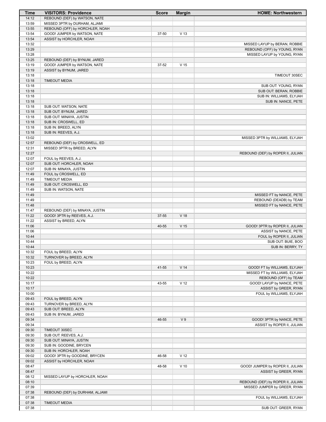| Time  | <b>VISITORS: Providence</b>     | <b>Score</b> | <b>Margin</b>   | <b>HOME: Northwestern</b>         |
|-------|---------------------------------|--------------|-----------------|-----------------------------------|
| 14:12 | REBOUND (DEF) by WATSON, NATE   |              |                 |                                   |
| 13:59 | MISSED 3PTR by DURHAM, ALJAMI   |              |                 |                                   |
| 13:55 | REBOUND (OFF) by HORCHLER, NOAH |              |                 |                                   |
| 13:54 | GOOD! JUMPER by WATSON, NATE    | 37-50        | V <sub>13</sub> |                                   |
| 13:54 | ASSIST by HORCHLER, NOAH        |              |                 |                                   |
| 13:32 |                                 |              |                 |                                   |
|       |                                 |              |                 | MISSED LAYUP by BERAN, ROBBIE     |
| 13:29 |                                 |              |                 | REBOUND (OFF) by YOUNG, RYAN      |
| 13:28 |                                 |              |                 | MISSED LAYUP by YOUNG, RYAN       |
| 13:25 | REBOUND (DEF) by BYNUM, JARED   |              |                 |                                   |
| 13:19 | GOOD! JUMPER by WATSON, NATE    | 37-52        | V <sub>15</sub> |                                   |
| 13:19 | ASSIST by BYNUM, JARED          |              |                 |                                   |
| 13:18 |                                 |              |                 | TIMEOUT 30SEC                     |
| 13:18 | <b>TIMEOUT MEDIA</b>            |              |                 |                                   |
| 13:18 |                                 |              |                 | SUB OUT: YOUNG, RYAN              |
| 13:18 |                                 |              |                 | SUB OUT: BERAN, ROBBIE            |
| 13:18 |                                 |              |                 | SUB IN: WILLIAMS, ELYJAH          |
| 13:18 |                                 |              |                 | SUB IN: NANCE, PETE               |
| 13:18 | SUB OUT: WATSON, NATE           |              |                 |                                   |
|       |                                 |              |                 |                                   |
| 13:18 | SUB OUT: BYNUM, JARED           |              |                 |                                   |
| 13:18 | SUB OUT: MINAYA, JUSTIN         |              |                 |                                   |
| 13:18 | SUB IN: CROSWELL, ED            |              |                 |                                   |
| 13:18 | SUB IN: BREED, ALYN             |              |                 |                                   |
| 13:18 | SUB IN: REEVES, A.J.            |              |                 |                                   |
| 13:02 |                                 |              |                 | MISSED 3PTR by WILLIAMS, ELYJAH   |
| 12:57 | REBOUND (DEF) by CROSWELL, ED   |              |                 |                                   |
| 12:31 | MISSED 3PTR by BREED, ALYN      |              |                 |                                   |
| 12:27 |                                 |              |                 | REBOUND (DEF) by ROPER II, JULIAN |
| 12:07 | FOUL by REEVES, A.J.            |              |                 |                                   |
| 12:07 | SUB OUT: HORCHLER, NOAH         |              |                 |                                   |
| 12:07 | SUB IN: MINAYA, JUSTIN          |              |                 |                                   |
| 11:49 |                                 |              |                 |                                   |
|       | FOUL by CROSWELL, ED            |              |                 |                                   |
| 11:49 | <b>TIMEOUT MEDIA</b>            |              |                 |                                   |
| 11:49 | SUB OUT: CROSWELL, ED           |              |                 |                                   |
| 11:49 | SUB IN: WATSON, NATE            |              |                 |                                   |
| 11:49 |                                 |              |                 | MISSED FT by NANCE, PETE          |
| 11:49 |                                 |              |                 | REBOUND (DEADB) by TEAM           |
| 11:48 |                                 |              |                 | MISSED FT by NANCE, PETE          |
| 11:47 | REBOUND (DEF) by MINAYA, JUSTIN |              |                 |                                   |
| 11:22 | GOOD! 3PTR by REEVES, A.J.      | 37-55        | V <sub>18</sub> |                                   |
| 11:22 | ASSIST by BREED, ALYN           |              |                 |                                   |
| 11:06 |                                 | 40-55        | V <sub>15</sub> | GOOD! 3PTR by ROPER II, JULIAN    |
| 11:06 |                                 |              |                 | ASSIST by NANCE, PETE             |
| 10:44 |                                 |              |                 | FOUL by ROPER II, JULIAN          |
|       |                                 |              |                 |                                   |
| 10:44 |                                 |              |                 | SUB OUT: BUIE, BOO                |
| 10:44 |                                 |              |                 | SUB IN: BERRY, TY                 |
| 10:32 | FOUL by BREED, ALYN             |              |                 |                                   |
| 10:32 | TURNOVER by BREED, ALYN         |              |                 |                                   |
| 10:23 | FOUL by BREED, ALYN             |              |                 |                                   |
| 10:23 |                                 | 41-55        | V <sub>14</sub> | GOOD! FT by WILLIAMS, ELYJAH      |
| 10:22 |                                 |              |                 | MISSED FT by WILLIAMS, ELYJAH     |
| 10:22 |                                 |              |                 | REBOUND (OFF) by TEAM             |
| 10:17 |                                 | 43-55        | V <sub>12</sub> | GOOD! LAYUP by NANCE, PETE        |
| 10:17 |                                 |              |                 | ASSIST by GREER, RYAN             |
| 10:00 |                                 |              |                 | FOUL by WILLIAMS, ELYJAH          |
| 09:43 | FOUL by BREED, ALYN             |              |                 |                                   |
|       | TURNOVER by BREED, ALYN         |              |                 |                                   |
| 09:43 |                                 |              |                 |                                   |
| 09:43 | SUB OUT: BREED, ALYN            |              |                 |                                   |
| 09:43 | SUB IN: BYNUM, JARED            |              |                 |                                   |
| 09:34 |                                 | 46-55        | V <sub>9</sub>  | GOOD! 3PTR by NANCE, PETE         |
| 09:34 |                                 |              |                 | ASSIST by ROPER II, JULIAN        |
| 09:30 | TIMEOUT 30SEC                   |              |                 |                                   |
| 09:30 | SUB OUT: REEVES, A.J.           |              |                 |                                   |
| 09:30 | SUB OUT: MINAYA, JUSTIN         |              |                 |                                   |
| 09:30 | SUB IN: GOODINE, BRYCEN         |              |                 |                                   |
| 09:30 | SUB IN: HORCHLER, NOAH          |              |                 |                                   |
| 09:02 | GOOD! 3PTR by GOODINE, BRYCEN   | 46-58        | V <sub>12</sub> |                                   |
| 09:02 | ASSIST by HORCHLER, NOAH        |              |                 |                                   |
|       |                                 |              |                 |                                   |
| 08:47 |                                 | 48-58        | $V$ 10          | GOOD! JUMPER by ROPER II, JULIAN  |
| 08:47 |                                 |              |                 | ASSIST by GREER, RYAN             |
| 08:12 | MISSED LAYUP by HORCHLER, NOAH  |              |                 |                                   |
| 08:10 |                                 |              |                 | REBOUND (DEF) by ROPER II, JULIAN |
| 07:39 |                                 |              |                 | MISSED JUMPER by GREER, RYAN      |
| 07:38 | REBOUND (DEF) by DURHAM, ALJAMI |              |                 |                                   |
| 07:38 |                                 |              |                 | FOUL by WILLIAMS, ELYJAH          |
| 07:38 | <b>TIMEOUT MEDIA</b>            |              |                 |                                   |
| 07:38 |                                 |              |                 | SUB OUT: GREER, RYAN              |
|       |                                 |              |                 |                                   |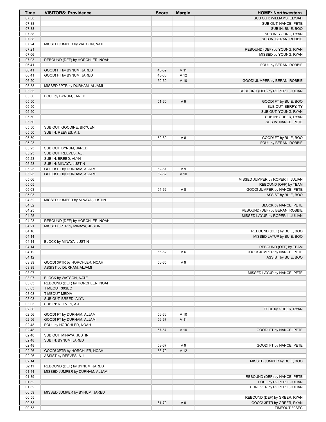| <b>Time</b>    | <b>VISITORS: Providence</b>                                      | <b>Score</b> | <b>Margin</b>     | <b>HOME: Northwestern</b>                      |
|----------------|------------------------------------------------------------------|--------------|-------------------|------------------------------------------------|
| 07:38          |                                                                  |              |                   | SUB OUT: WILLIAMS, ELYJAH                      |
| 07:38          |                                                                  |              |                   | SUB OUT: NANCE, PETE                           |
| 07:38          |                                                                  |              |                   | SUB IN: BUIE, BOO                              |
| 07:38          |                                                                  |              |                   | SUB IN: YOUNG, RYAN                            |
| 07:38          |                                                                  |              |                   | SUB IN: BERAN, ROBBIE                          |
| 07:24<br>07:21 | MISSED JUMPER by WATSON, NATE                                    |              |                   | REBOUND (DEF) by YOUNG, RYAN                   |
| 07:06          |                                                                  |              |                   | MISSED by YOUNG, RYAN                          |
| 07:03          | REBOUND (DEF) by HORCHLER, NOAH                                  |              |                   |                                                |
| 06:41          |                                                                  |              |                   | FOUL by BERAN, ROBBIE                          |
| 06:41          | GOOD! FT by BYNUM, JARED                                         | 48-59        | $V$ 11            |                                                |
| 06:41          | GOOD! FT by BYNUM, JARED                                         | 48-60        | $\overline{V}$ 12 |                                                |
| 06:20          |                                                                  | 50-60        | $V$ 10            | GOOD! JUMPER by BERAN, ROBBIE                  |
| 05:58          | MISSED 3PTR by DURHAM, ALJAMI                                    |              |                   |                                                |
| 05:53          |                                                                  |              |                   | REBOUND (DEF) by ROPER II, JULIAN              |
| 05:50          | FOUL by BYNUM, JARED                                             |              |                   |                                                |
| 05:50          |                                                                  | 51-60        | V <sub>9</sub>    | GOOD! FT by BUIE, BOO                          |
| 05:50          |                                                                  |              |                   | SUB OUT: BERRY, TY                             |
| 05:50          |                                                                  |              |                   | SUB OUT: YOUNG, RYAN                           |
| 05:50          |                                                                  |              |                   | SUB IN: GREER, RYAN                            |
| 05:50          |                                                                  |              |                   | SUB IN: NANCE, PETE                            |
| 05:50          | SUB OUT: GOODINE, BRYCEN                                         |              |                   |                                                |
| 05:50          | SUB IN: REEVES, A.J.                                             | 52-60        | $V_8$             |                                                |
| 05:50<br>05:23 |                                                                  |              |                   | GOOD! FT by BUIE, BOO<br>FOUL by BERAN, ROBBIE |
| 05:23          | SUB OUT: BYNUM, JARED                                            |              |                   |                                                |
| 05:23          | SUB OUT: REEVES, A.J.                                            |              |                   |                                                |
| 05:23          | SUB IN: BREED, ALYN                                              |              |                   |                                                |
| 05:23          | SUB IN: MINAYA, JUSTIN                                           |              |                   |                                                |
| 05:23          | GOOD! FT by DURHAM, ALJAMI                                       | 52-61        | V <sub>9</sub>    |                                                |
| 05:23          | GOOD! FT by DURHAM, ALJAMI                                       | 52-62        | $V$ 10            |                                                |
| 05:06          |                                                                  |              |                   | MISSED JUMPER by ROPER II, JULIAN              |
| 05:05          |                                                                  |              |                   | REBOUND (OFF) by TEAM                          |
| 05:03          |                                                                  | 54-62        | V8                | GOOD! JUMPER by NANCE, PETE                    |
| 05:03          |                                                                  |              |                   | ASSIST by BUIE, BOO                            |
| 04:32          | MISSED JUMPER by MINAYA, JUSTIN                                  |              |                   |                                                |
| 04:32          |                                                                  |              |                   | BLOCK by NANCE, PETE                           |
| 04:25          |                                                                  |              |                   | REBOUND (DEF) by BERAN, ROBBIE                 |
| 04:25          |                                                                  |              |                   | MISSED LAYUP by ROPER II, JULIAN               |
| 04:23<br>04:21 | REBOUND (DEF) by HORCHLER, NOAH<br>MISSED 3PTR by MINAYA, JUSTIN |              |                   |                                                |
| 04:16          |                                                                  |              |                   | REBOUND (DEF) by BUIE, BOO                     |
| 04:14          |                                                                  |              |                   | MISSED LAYUP by BUIE, BOO                      |
| 04:14          | BLOCK by MINAYA, JUSTIN                                          |              |                   |                                                |
| 04:14          |                                                                  |              |                   | REBOUND (OFF) by TEAM                          |
| 04:12          |                                                                  | 56-62        | V6                | GOOD! JUMPER by NANCE, PETE                    |
| 04:12          |                                                                  |              |                   | ASSIST by BUIE, BOO                            |
| 03:39          | GOOD! 3PTR by HORCHLER, NOAH                                     | 56-65        | V <sub>9</sub>    |                                                |
| 03:39          | ASSIST by DURHAM, ALJAMI                                         |              |                   |                                                |
| 03:07          |                                                                  |              |                   | MISSED LAYUP by NANCE, PETE                    |
| 03:07          | BLOCK by WATSON, NATE                                            |              |                   |                                                |
| 03:03          | REBOUND (DEF) by HORCHLER, NOAH                                  |              |                   |                                                |
| 03:03          | TIMEOUT 30SEC                                                    |              |                   |                                                |
| 03:03          | <b>TIMEOUT MEDIA</b>                                             |              |                   |                                                |
| 03:03          | SUB OUT: BREED, ALYN                                             |              |                   |                                                |
| 03:03          | SUB IN: REEVES, A.J.                                             |              |                   |                                                |
| 02:56          |                                                                  |              |                   | FOUL by GREER, RYAN                            |
| 02:56          | GOOD! FT by DURHAM, ALJAMI                                       | 56-66        | $V$ 10            |                                                |
| 02:56          | GOOD! FT by DURHAM, ALJAMI                                       | 56-67        | $V$ 11            |                                                |
| 02:48<br>02:48 | FOUL by HORCHLER, NOAH                                           | 57-67        | $V$ 10            | GOOD! FT by NANCE, PETE                        |
| 02:48          | SUB OUT: MINAYA, JUSTIN                                          |              |                   |                                                |
| 02:48          | SUB IN: BYNUM, JARED                                             |              |                   |                                                |
| 02:48          |                                                                  | 58-67        | V <sub>9</sub>    | GOOD! FT by NANCE, PETE                        |
| 02:26          | GOOD! 3PTR by HORCHLER, NOAH                                     | 58-70        | V <sub>12</sub>   |                                                |
| 02:26          | ASSIST by REEVES, A.J.                                           |              |                   |                                                |
| 02:14          |                                                                  |              |                   | MISSED JUMPER by BUIE, BOO                     |
| 02:11          | REBOUND (DEF) by BYNUM, JARED                                    |              |                   |                                                |
| 01:44          | MISSED JUMPER by DURHAM, ALJAMI                                  |              |                   |                                                |
| 01:39          |                                                                  |              |                   | REBOUND (DEF) by NANCE, PETE                   |
| 01:32          |                                                                  |              |                   | FOUL by ROPER II, JULIAN                       |
| 01:32          |                                                                  |              |                   | TURNOVER by ROPER II, JULIAN                   |
| 00:59          | MISSED JUMPER by BYNUM, JARED                                    |              |                   |                                                |
| 00:55          |                                                                  |              |                   | REBOUND (DEF) by GREER, RYAN                   |
| 00:53          |                                                                  | 61-70        | V <sub>9</sub>    | GOOD! 3PTR by GREER, RYAN                      |
| 00:53          |                                                                  |              |                   | TIMEOUT 30SEC                                  |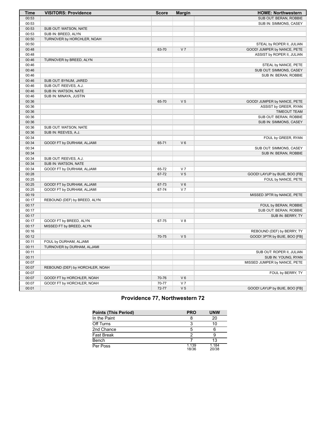| <b>Time</b> | <b>VISITORS: Providence</b>     | <b>Score</b> | <b>Margin</b>  | <b>HOME: Northwestern</b>     |
|-------------|---------------------------------|--------------|----------------|-------------------------------|
| 00:53       |                                 |              |                | SUB OUT: BERAN, ROBBIE        |
| 00:53       |                                 |              |                | SUB IN: SIMMONS, CASEY        |
| 00:53       | SUB OUT: WATSON, NATE           |              |                |                               |
| 00:53       | SUB IN: BREED, ALYN             |              |                |                               |
| 00:50       | TURNOVER by HORCHLER, NOAH      |              |                |                               |
| 00:50       |                                 |              |                | STEAL by ROPER II, JULIAN     |
| 00:48       |                                 | 63-70        | V <sub>7</sub> | GOOD! JUMPER by NANCE, PETE   |
| 00:48       |                                 |              |                | ASSIST by ROPER II, JULIAN    |
| 00:46       | TURNOVER by BREED, ALYN         |              |                |                               |
| 00:46       |                                 |              |                | STEAL by NANCE, PETE          |
| 00:46       |                                 |              |                | SUB OUT: SIMMONS, CASEY       |
| 00:46       |                                 |              |                | SUB IN: BERAN, ROBBIE         |
| 00:46       | SUB OUT: BYNUM, JARED           |              |                |                               |
| 00:46       | SUB OUT: REEVES, A.J.           |              |                |                               |
| 00:46       | SUB IN: WATSON, NATE            |              |                |                               |
| 00:46       | SUB IN: MINAYA, JUSTIN          |              |                |                               |
| 00:36       |                                 | 65-70        | V <sub>5</sub> | GOOD! JUMPER by NANCE, PETE   |
| 00:36       |                                 |              |                | ASSIST by GREER, RYAN         |
| 00:36       |                                 |              |                | <b>TIMEOUT TEAM</b>           |
| 00:36       |                                 |              |                | SUB OUT: BERAN, ROBBIE        |
| 00:36       |                                 |              |                | SUB IN: SIMMONS, CASEY        |
| 00:36       | SUB OUT: WATSON, NATE           |              |                |                               |
| 00:36       | SUB IN: REEVES, A.J.            |              |                |                               |
| 00:34       |                                 |              |                | FOUL by GREER, RYAN           |
| 00:34       | GOOD! FT by DURHAM, ALJAMI      | 65-71        | $V_6$          |                               |
| 00:34       |                                 |              |                | SUB OUT: SIMMONS, CASEY       |
| 00:34       |                                 |              |                | SUB IN: BERAN, ROBBIE         |
| 00:34       | SUB OUT: REEVES, A.J.           |              |                |                               |
| 00:34       | SUB IN: WATSON, NATE            |              |                |                               |
| 00:34       | GOOD! FT by DURHAM, ALJAMI      | 65-72        | V <sub>7</sub> |                               |
| 00:28       |                                 | 67-72        | V <sub>5</sub> | GOOD! LAYUP by BUIE, BOO [FB] |
| 00:25       |                                 |              |                | FOUL by NANCE, PETE           |
| 00:25       | GOOD! FT by DURHAM, ALJAMI      | 67-73        | $V_6$          |                               |
| 00:25       | GOOD! FT by DURHAM, ALJAMI      | 67-74        | V <sub>7</sub> |                               |
| 00:19       |                                 |              |                | MISSED 3PTR by NANCE, PETE    |
| 00:17       | REBOUND (DEF) by BREED, ALYN    |              |                |                               |
| 00:17       |                                 |              |                | FOUL by BERAN, ROBBIE         |
| 00:17       |                                 |              |                | SUB OUT: BERAN, ROBBIE        |
| 00:17       |                                 |              |                | SUB IN: BERRY, TY             |
| 00:17       | GOOD! FT by BREED, ALYN         | 67-75        | V8             |                               |
| 00:17       | MISSED FT by BREED, ALYN        |              |                |                               |
| 00:16       |                                 |              |                | REBOUND (DEF) by BERRY, TY    |
| 00:12       |                                 | 70-75        | V <sub>5</sub> | GOOD! 3PTR by BUIE, BOO [FB]  |
| 00:11       | FOUL by DURHAM, ALJAMI          |              |                |                               |
| 00:11       | TURNOVER by DURHAM, ALJAMI      |              |                |                               |
| 00:11       |                                 |              |                | SUB OUT: ROPER II, JULIAN     |
| 00:11       |                                 |              |                | SUB IN: YOUNG, RYAN           |
| 00:07       |                                 |              |                | MISSED JUMPER by NANCE, PETE  |
| 00:07       | REBOUND (DEF) by HORCHLER, NOAH |              |                |                               |
| 00:07       |                                 |              |                | FOUL by BERRY, TY             |
| 00:07       | GOOD! FT by HORCHLER, NOAH      | 70-76        | $V_6$          |                               |
| 00:07       | GOOD! FT by HORCHLER, NOAH      | 70-77        | V <sub>7</sub> |                               |
| 00:01       |                                 | 72-77        | V <sub>5</sub> | GOOD! LAYUP by BUIE, BOO [FB] |

# **Providence 77, Northwestern 72**

| <b>Points (This Period)</b> | <b>PRO</b>     | <b>UNW</b>     |
|-----------------------------|----------------|----------------|
| In the Paint                |                | 20             |
| Off Turns                   | З              | 10             |
| 2nd Chance                  |                |                |
| <b>Fast Break</b>           |                | 9              |
| Bench                       |                | 13             |
| Per Poss                    | 1.139<br>18/36 | 1.184<br>20/38 |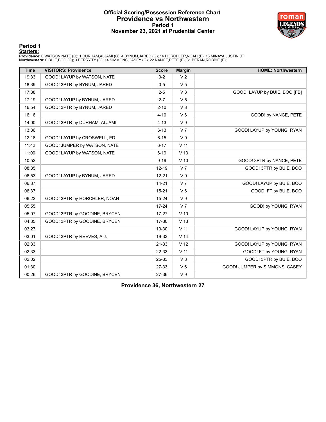# **Official Scoring/Possession Reference Chart Providence vs Northwestern Period 1 November 23, 2021 at Prudential Center**



**Period 1**

#### **Starters:**

Providence: 0 WATSON,NATE (C); 1 DURHAM,ALJAMI (G); 4 BYNUM,JARED (G); 14 HORCHLER,NOAH (F); 15 MINAYA,JUSTIN (F);<br>**Northwestern**: 0 BUIE,BOO (G); 3 BERRY,TY (G); 14 SIMMONS,CASEY (G); 22 NANCE,PETE (F); 31 BERAN,ROBBIE (F

| <b>Time</b> | <b>VISITORS: Providence</b>   | <b>Score</b> | <b>Margin</b>   | <b>HOME: Northwestern</b>      |
|-------------|-------------------------------|--------------|-----------------|--------------------------------|
| 19:33       | GOOD! LAYUP by WATSON, NATE   | $0 - 2$      | V <sub>2</sub>  |                                |
| 18:39       | GOOD! 3PTR by BYNUM, JARED    | $0-5$        | V <sub>5</sub>  |                                |
| 17:38       |                               | $2 - 5$      | $V_3$           | GOOD! LAYUP by BUIE, BOO [FB]  |
| 17:19       | GOOD! LAYUP by BYNUM, JARED   | $2 - 7$      | V <sub>5</sub>  |                                |
| 16:54       | GOOD! 3PTR by BYNUM, JARED    | $2 - 10$     | V8              |                                |
| 16:16       |                               | $4 - 10$     | $V_6$           | GOOD! by NANCE, PETE           |
| 14:00       | GOOD! 3PTR by DURHAM, ALJAMI  | $4 - 13$     | V <sub>9</sub>  |                                |
| 13:36       |                               | $6 - 13$     | V <sub>7</sub>  | GOOD! LAYUP by YOUNG, RYAN     |
| 12:18       | GOOD! LAYUP by CROSWELL, ED   | $6 - 15$     | V <sub>9</sub>  |                                |
| 11:42       | GOOD! JUMPER by WATSON, NATE  | $6 - 17$     | $V$ 11          |                                |
| 11:00       | GOOD! LAYUP by WATSON, NATE   | $6 - 19$     | V <sub>13</sub> |                                |
| 10:52       |                               | $9 - 19$     | $V$ 10          | GOOD! 3PTR by NANCE, PETE      |
| 08:35       |                               | $12 - 19$    | V <sub>7</sub>  | GOOD! 3PTR by BUIE, BOO        |
| 06:53       | GOOD! LAYUP by BYNUM, JARED   | $12 - 21$    | V <sub>9</sub>  |                                |
| 06:37       |                               | $14 - 21$    | V <sub>7</sub>  | GOOD! LAYUP by BUIE, BOO       |
| 06:37       |                               | $15 - 21$    | $V_6$           | GOOD! FT by BUIE, BOO          |
| 06:22       | GOOD! 3PTR by HORCHLER, NOAH  | $15 - 24$    | V <sub>9</sub>  |                                |
| 05:55       |                               | $17 - 24$    | V <sub>7</sub>  | GOOD! by YOUNG, RYAN           |
| 05:07       | GOOD! 3PTR by GOODINE, BRYCEN | $17 - 27$    | $V$ 10          |                                |
| 04:35       | GOOD! 3PTR by GOODINE, BRYCEN | 17-30        | V <sub>13</sub> |                                |
| 03:27       |                               | 19-30        | V <sub>11</sub> | GOOD! LAYUP by YOUNG, RYAN     |
| 03:01       | GOOD! 3PTR by REEVES, A.J.    | 19-33        | V <sub>14</sub> |                                |
| 02:33       |                               | 21-33        | V <sub>12</sub> | GOOD! LAYUP by YOUNG, RYAN     |
| 02:33       |                               | 22-33        | V <sub>11</sub> | GOOD! FT by YOUNG, RYAN        |
| 02:02       |                               | 25-33        | V8              | GOOD! 3PTR by BUIE, BOO        |
| 01:30       |                               | 27-33        | $V_6$           | GOOD! JUMPER by SIMMONS, CASEY |
| 00:26       | GOOD! 3PTR by GOODINE, BRYCEN | 27-36        | V <sub>9</sub>  |                                |

**Providence 36, Northwestern 27**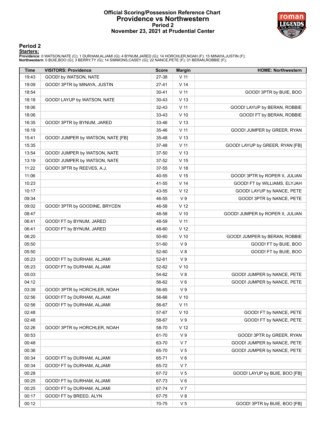# **Official Scoring/Possession Reference Chart Providence vs Northwestern Period 2 November 23, 2021 at Prudential Center**



# **Period 2**

#### **Starters:**

Providence: 0 WATSON,NATE (C); 1 DURHAM,ALJAMI (G); 4 BYNUM,JARED (G); 14 HORCHLER,NOAH (F); 15 MINAYA,JUSTIN (F);<br>**Northwestern**: 0 BUIE,BOO (G); 3 BERRY,TY (G); 14 SIMMONS,CASEY (G); 22 NANCE,PETE (F); 31 BERAN,ROBBIE (F

| <b>Time</b> | <b>VISITORS: Providence</b>       | <b>Score</b> | <b>Margin</b>   | <b>HOME: Northwestern</b>        |
|-------------|-----------------------------------|--------------|-----------------|----------------------------------|
| 19:43       | GOOD! by WATSON, NATE             | 27-38        | V <sub>11</sub> |                                  |
| 19:09       | GOOD! 3PTR by MINAYA, JUSTIN      | $27 - 41$    | V <sub>14</sub> |                                  |
| 18:54       |                                   | $30 - 41$    | V <sub>11</sub> | GOOD! 3PTR by BUIE, BOO          |
| 18:18       | GOOD! LAYUP by WATSON, NATE       | $30 - 43$    | V <sub>13</sub> |                                  |
| 18:06       |                                   | $32 - 43$    | $V$ 11          | GOOD! LAYUP by BERAN, ROBBIE     |
| 18:06       |                                   | 33-43        | $V$ 10          | GOOD! FT by BERAN, ROBBIE        |
| 16:35       | GOOD! 3PTR by BYNUM, JARED        | 33-46        | V <sub>13</sub> |                                  |
| 16:19       |                                   | 35-46        | V <sub>11</sub> | GOOD! JUMPER by GREER, RYAN      |
| 15:41       | GOOD! JUMPER by WATSON, NATE [FB] | 35-48        | V <sub>13</sub> |                                  |
| 15:35       |                                   | 37-48        | V <sub>11</sub> | GOOD! LAYUP by GREER, RYAN [FB]  |
| 13:54       | GOOD! JUMPER by WATSON, NATE      | 37-50        | V <sub>13</sub> |                                  |
| 13:19       | GOOD! JUMPER by WATSON, NATE      | 37-52        | V <sub>15</sub> |                                  |
| 11:22       | GOOD! 3PTR by REEVES, A.J.        | 37-55        | V <sub>18</sub> |                                  |
| 11:06       |                                   | 40-55        | V <sub>15</sub> | GOOD! 3PTR by ROPER II, JULIAN   |
| 10:23       |                                   | 41-55        | V <sub>14</sub> | GOOD! FT by WILLIAMS, ELYJAH     |
| 10:17       |                                   | 43-55        | V <sub>12</sub> | GOOD! LAYUP by NANCE, PETE       |
| 09:34       |                                   | 46-55        | $\vee$ 9        | GOOD! 3PTR by NANCE, PETE        |
| 09:02       | GOOD! 3PTR by GOODINE, BRYCEN     | 46-58        | V <sub>12</sub> |                                  |
| 08:47       |                                   | 48-58        | $V$ 10          | GOOD! JUMPER by ROPER II, JULIAN |
| 06:41       | GOOD! FT by BYNUM, JARED          | 48-59        | $V$ 11          |                                  |
| 06:41       | GOOD! FT by BYNUM, JARED          | 48-60        | V <sub>12</sub> |                                  |
| 06:20       |                                   | 50-60        | $V$ 10          | GOOD! JUMPER by BERAN, ROBBIE    |
| 05:50       |                                   | 51-60        | V <sub>9</sub>  | GOOD! FT by BUIE, BOO            |
| 05:50       |                                   | 52-60        | V8              | GOOD! FT by BUIE, BOO            |
| 05:23       | GOOD! FT by DURHAM, ALJAMI        | 52-61        | V <sub>9</sub>  |                                  |
| 05:23       | GOOD! FT by DURHAM, ALJAMI        | 52-62        | $V$ 10          |                                  |
| 05:03       |                                   | 54-62        | V8              | GOOD! JUMPER by NANCE, PETE      |
| 04:12       |                                   | 56-62        | $V_6$           | GOOD! JUMPER by NANCE, PETE      |
| 03:39       | GOOD! 3PTR by HORCHLER, NOAH      | 56-65        | V <sub>9</sub>  |                                  |
| 02:56       | GOOD! FT by DURHAM, ALJAMI        | 56-66        | $V$ 10          |                                  |
| 02:56       | GOOD! FT by DURHAM, ALJAMI        | 56-67        | V <sub>11</sub> |                                  |
| 02:48       |                                   | 57-67        | V <sub>10</sub> | GOOD! FT by NANCE, PETE          |
| 02:48       |                                   | 58-67        | $\vee$ 9        | GOOD! FT by NANCE, PETE          |
| 02:26       | GOOD! 3PTR by HORCHLER, NOAH      | 58-70        | V <sub>12</sub> |                                  |
| 00:53       |                                   | 61-70        | V <sub>9</sub>  | GOOD! 3PTR by GREER, RYAN        |
| 00:48       |                                   | 63-70        | V <sub>7</sub>  | GOOD! JUMPER by NANCE, PETE      |
| 00:36       |                                   | 65-70        | V <sub>5</sub>  | GOOD! JUMPER by NANCE, PETE      |
| 00:34       | GOOD! FT by DURHAM, ALJAMI        | 65-71        | V6              |                                  |
| 00:34       | GOOD! FT by DURHAM, ALJAMI        | 65-72        | V <sub>7</sub>  |                                  |
| 00:28       |                                   | 67-72        | V 5             | GOOD! LAYUP by BUIE, BOO [FB]    |
| 00:25       | GOOD! FT by DURHAM, ALJAMI        | 67-73        | V6              |                                  |
| 00:25       | GOOD! FT by DURHAM, ALJAMI        | 67-74        | V 7             |                                  |
|             |                                   |              |                 |                                  |
| 00:17       | GOOD! FT by BREED, ALYN           | 67-75        | V8              |                                  |
| 00:12       |                                   | 70-75        | V <sub>5</sub>  | GOOD! 3PTR by BUIE, BOO [FB]     |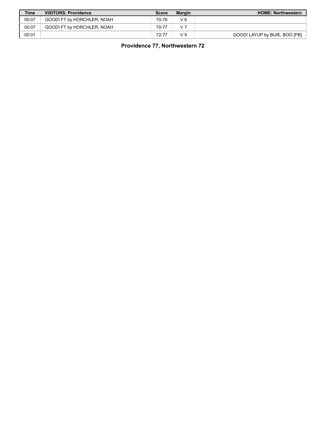| <b>Time</b> | <b>VISITORS: Providence</b> | <b>Score</b> | <b>Margin</b>  | <b>HOME: Northwestern</b>     |
|-------------|-----------------------------|--------------|----------------|-------------------------------|
| 00:07       | GOOD! FT by HORCHLER, NOAH  | 70-76        | V6             |                               |
| 00:07       | GOOD! FT by HORCHLER, NOAH  | 70-77        | V <sub>7</sub> |                               |
| 00:01       |                             | 72-77        | V 5            | GOOD! LAYUP by BUIE, BOO [FB] |

**Providence 77, Northwestern 72**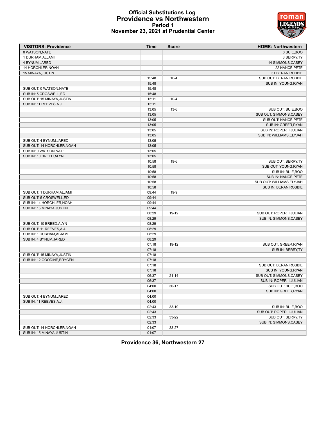# **Official Substitutions Log Providence vs Northwestern Period 1 November 23, 2021 at Prudential Center**



| <b>VISITORS: Providence</b> | Time           | <b>Score</b> | <b>HOME: Northwestern</b> |
|-----------------------------|----------------|--------------|---------------------------|
| 0 WATSON, NATE              |                |              | 0 BUIE, BOO               |
| 1 DURHAM, ALJAMI            |                |              | 3 BERRY, TY               |
| 4 BYNUM, JARED              |                |              | 14 SIMMONS, CASEY         |
| 14 HORCHLER, NOAH           |                |              | 22 NANCE, PETE            |
| 15 MINAYA, JUSTIN           |                |              | 31 BERAN, ROBBIE          |
|                             | 15:48          | $10 - 4$     | SUB OUT: BERAN, ROBBIE    |
|                             | 15:48          |              | SUB IN: YOUNG, RYAN       |
| SUB OUT: 0 WATSON, NATE     | 15:48          |              |                           |
| SUB IN: 5 CROSWELL,ED       | 15:48          |              |                           |
| SUB OUT: 15 MINAYA.JUSTIN   | 15:11          | $10 - 4$     |                           |
| SUB IN: 11 REEVES, A.J.     | 15:11          |              |                           |
|                             | 13:05          | $13-6$       | SUB OUT: BUIE, BOO        |
|                             | 13:05          |              | SUB OUT: SIMMONS, CASEY   |
|                             | 13:05          |              | SUB OUT: NANCE, PETE      |
|                             | 13:05          |              | SUB IN: GREER, RYAN       |
|                             | 13:05          |              | SUB IN: ROPER II, JULIAN  |
|                             | 13:05          |              | SUB IN: WILLIAMS, ELYJAH  |
| SUB OUT: 4 BYNUM, JARED     | 13:05          |              |                           |
| SUB OUT: 14 HORCHLER, NOAH  | 13:05          |              |                           |
| SUB IN: 0 WATSON.NATE       | 13:05          |              |                           |
| SUB IN: 10 BREED, ALYN      | 13:05          |              |                           |
|                             | 10:58          | $19-6$       | SUB OUT: BERRY, TY        |
|                             | 10:58          |              | SUB OUT: YOUNG, RYAN      |
|                             | 10:58          |              | SUB IN: BUIE, BOO         |
|                             | 10:58          |              | SUB IN: NANCE, PETE       |
|                             | 10:58          |              | SUB OUT: WILLIAMS, ELYJAH |
|                             | 10:58          |              | SUB IN: BERAN, ROBBIE     |
| SUB OUT: 1 DURHAM, ALJAMI   | 09:44          | $19-9$       |                           |
| SUB OUT: 5 CROSWELL,ED      | 09:44          |              |                           |
| SUB IN: 14 HORCHLER, NOAH   | 09:44          |              |                           |
| SUB IN: 15 MINAYA, JUSTIN   | 09:44          |              |                           |
|                             | 08:29          | 19-12        | SUB OUT: ROPER II, JULIAN |
|                             | 08:29          |              | SUB IN: SIMMONS, CASEY    |
| SUB OUT: 10 BREED, ALYN     | 08:29          |              |                           |
| SUB OUT: 11 REEVES, A.J.    | 08:29          |              |                           |
| SUB IN: 1 DURHAM, ALJAMI    | 08:29          |              |                           |
| SUB IN: 4 BYNUM, JARED      | 08:29          |              |                           |
|                             | 07:18          | 19-12        | SUB OUT: GREER, RYAN      |
|                             | 07:18          |              | SUB IN: BERRY, TY         |
| SUB OUT: 15 MINAYA, JUSTIN  | 07:18          |              |                           |
| SUB IN: 12 GOODINE, BRYCEN  | 07:18          |              |                           |
|                             | 07:18          |              | SUB OUT: BERAN, ROBBIE    |
|                             | 07:18          |              | SUB IN: YOUNG, RYAN       |
|                             | 06:37          | $21 - 14$    | SUB OUT: SIMMONS, CASEY   |
|                             | 06:37          |              | SUB IN: ROPER II, JULIAN  |
|                             | 04:00          | $30 - 17$    | SUB OUT: BUIE, BOO        |
|                             | 04:00          |              | SUB IN: GREER, RYAN       |
| SUB OUT: 4 BYNUM, JARED     | 04:00          |              |                           |
| SUB IN: 11 REEVES, A.J.     | 04:00          |              |                           |
|                             | 02:43          | $33-19$      | SUB IN: BUIE, BOO         |
|                             |                |              | SUB OUT: ROPER II, JULIAN |
|                             | 02:43<br>02:33 | 33-22        | SUB OUT: BERRY, TY        |
|                             | 02:33          |              | SUB IN: SIMMONS, CASEY    |
|                             |                |              |                           |
| SUB OUT: 14 HORCHLER, NOAH  | 01:07          | 33-27        |                           |
| SUB IN: 15 MINAYA, JUSTIN   | 01:07          |              |                           |

# **Providence 36, Northwestern 27**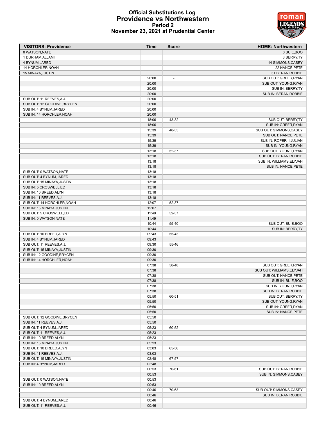# **Official Substitutions Log Providence vs Northwestern Period 2 November 23, 2021 at Prudential Center**



| <b>VISITORS: Providence</b> | Time  | <b>Score</b>             | <b>HOME: Northwestern</b> |
|-----------------------------|-------|--------------------------|---------------------------|
| 0 WATSON, NATE              |       |                          | 0 BUIE, BOO               |
| 1 DURHAM, ALJAMI            |       |                          | 3 BERRY, TY               |
| 4 BYNUM, JARED              |       |                          | 14 SIMMONS, CASEY         |
| 14 HORCHLER, NOAH           |       |                          | 22 NANCE, PETE            |
| 15 MINAYA, JUSTIN           |       |                          | 31 BERAN, ROBBIE          |
|                             | 20:00 | $\overline{\phantom{a}}$ | SUB OUT: GREER, RYAN      |
|                             | 20:00 |                          | SUB OUT: YOUNG, RYAN      |
|                             | 20:00 |                          | SUB IN: BERRY, TY         |
|                             | 20:00 |                          | SUB IN: BERAN, ROBBIE     |
| SUB OUT: 11 REEVES, A.J.    | 20:00 |                          |                           |
| SUB OUT: 12 GOODINE, BRYCEN | 20:00 |                          |                           |
| SUB IN: 4 BYNUM, JARED      | 20:00 |                          |                           |
| SUB IN: 14 HORCHLER.NOAH    | 20:00 |                          |                           |
|                             | 18:06 | 43-32                    | SUB OUT: BERRY, TY        |
|                             | 18:06 |                          | SUB IN: GREER, RYAN       |
|                             | 15:39 | 48-35                    | SUB OUT: SIMMONS, CASEY   |
|                             | 15:39 |                          | SUB OUT: NANCE, PETE      |
|                             | 15:39 |                          | SUB IN: ROPER II, JULIAN  |
|                             | 15:39 |                          | SUB IN: YOUNG, RYAN       |
|                             | 13:18 | 52-37                    | SUB OUT: YOUNG, RYAN      |
|                             | 13:18 |                          | SUB OUT: BERAN, ROBBIE    |
|                             | 13:18 |                          | SUB IN: WILLIAMS, ELYJAH  |
|                             | 13:18 |                          | SUB IN: NANCE, PETE       |
| SUB OUT: 0 WATSON, NATE     | 13:18 |                          |                           |
| SUB OUT: 4 BYNUM, JARED     | 13:18 |                          |                           |
| SUB OUT: 15 MINAYA, JUSTIN  | 13:18 |                          |                           |
| SUB IN: 5 CROSWELL,ED       | 13:18 |                          |                           |
| SUB IN: 10 BREED, ALYN      | 13:18 |                          |                           |
| SUB IN: 11 REEVES, A.J.     | 13:18 |                          |                           |
| SUB OUT: 14 HORCHLER, NOAH  | 12:07 | 52-37                    |                           |
| SUB IN: 15 MINAYA, JUSTIN   | 12:07 |                          |                           |
| SUB OUT: 5 CROSWELL,ED      | 11:49 | 52-37                    |                           |
| SUB IN: 0 WATSON, NATE      | 11:49 |                          |                           |
|                             | 10:44 | 55-40                    | SUB OUT: BUIE, BOO        |
|                             | 10:44 |                          | SUB IN: BERRY, TY         |
| SUB OUT: 10 BREED, ALYN     | 09:43 | 55-43                    |                           |
| SUB IN: 4 BYNUM, JARED      | 09:43 |                          |                           |
| SUB OUT: 11 REEVES, A.J.    | 09:30 | 55-46                    |                           |
| SUB OUT: 15 MINAYA, JUSTIN  | 09:30 |                          |                           |
| SUB IN: 12 GOODINE, BRYCEN  | 09:30 |                          |                           |
| SUB IN: 14 HORCHLER, NOAH   | 09:30 |                          |                           |
|                             | 07:38 | 58-48                    | SUB OUT: GREER, RYAN      |
|                             | 07:38 |                          | SUB OUT: WILLIAMS, ELYJAH |
|                             | 07:38 |                          | SUB OUT: NANCE, PETE      |
|                             | 07:38 |                          | SUB IN: BUIE, BOO         |
|                             | 07:38 |                          | SUB IN: YOUNG, RYAN       |
|                             | 07:38 |                          | SUB IN: BERAN, ROBBIE     |
|                             | 05:50 | 60-51                    | SUB OUT: BERRY, TY        |
|                             | 05:50 |                          | SUB OUT: YOUNG, RYAN      |
|                             | 05:50 |                          | SUB IN: GREER, RYAN       |
|                             | 05:50 |                          | SUB IN: NANCE, PETE       |
| SUB OUT: 12 GOODINE, BRYCEN | 05:50 |                          |                           |
| SUB IN: 11 REEVES, A.J.     | 05:50 |                          |                           |
| SUB OUT: 4 BYNUM, JARED     | 05:23 | 60-52                    |                           |
| SUB OUT: 11 REEVES, A.J.    | 05:23 |                          |                           |
| SUB IN: 10 BREED, ALYN      | 05:23 |                          |                           |
| SUB IN: 15 MINAYA, JUSTIN   | 05:23 |                          |                           |
| SUB OUT: 10 BREED, ALYN     | 03:03 | 65-56                    |                           |
| SUB IN: 11 REEVES, A.J.     | 03:03 |                          |                           |
| SUB OUT: 15 MINAYA, JUSTIN  | 02:48 | 67-57                    |                           |
| SUB IN: 4 BYNUM, JARED      | 02:48 |                          |                           |
|                             | 00:53 | 70-61                    | SUB OUT: BERAN, ROBBIE    |
|                             | 00:53 |                          | SUB IN: SIMMONS, CASEY    |
| SUB OUT: 0 WATSON, NATE     | 00:53 |                          |                           |
| SUB IN: 10 BREED, ALYN      | 00:53 |                          |                           |
|                             | 00:46 | 70-63                    | SUB OUT: SIMMONS, CASEY   |
|                             | 00:46 |                          | SUB IN: BERAN, ROBBIE     |
| SUB OUT: 4 BYNUM, JARED     | 00:46 |                          |                           |
| SUB OUT: 11 REEVES, A.J.    | 00:46 |                          |                           |
|                             |       |                          |                           |